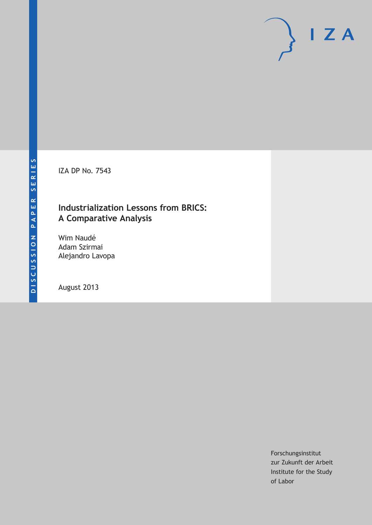IZA DP No. 7543

# **Industrialization Lessons from BRICS: A Comparative Analysis**

Wim Naudé Adam Szirmai Alejandro Lavopa

August 2013

Forschungsinstitut zur Zukunft der Arbeit Institute for the Study of Labor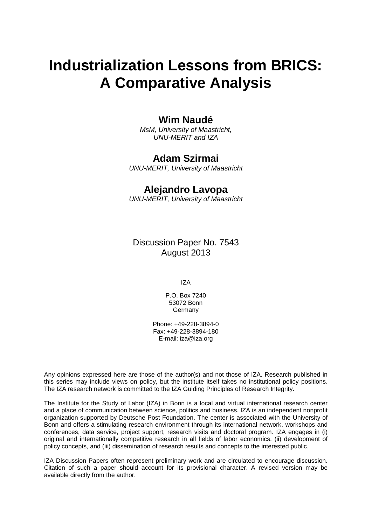# **Industrialization Lessons from BRICS: A Comparative Analysis**

# **Wim Naudé**

*MsM, University of Maastricht, UNU-MERIT and IZA*

# **Adam Szirmai**

*UNU-MERIT, University of Maastricht*

# **Alejandro Lavopa**

*UNU-MERIT, University of Maastricht*

Discussion Paper No. 7543 August 2013

IZA

P.O. Box 7240 53072 Bonn **Germany** 

Phone: +49-228-3894-0 Fax: +49-228-3894-180 E-mail: [iza@iza.org](mailto:iza@iza.org)

Any opinions expressed here are those of the author(s) and not those of IZA. Research published in this series may include views on policy, but the institute itself takes no institutional policy positions. The IZA research network is committed to the IZA Guiding Principles of Research Integrity.

The Institute for the Study of Labor (IZA) in Bonn is a local and virtual international research center and a place of communication between science, politics and business. IZA is an independent nonprofit organization supported by Deutsche Post Foundation. The center is associated with the University of Bonn and offers a stimulating research environment through its international network, workshops and conferences, data service, project support, research visits and doctoral program. IZA engages in (i) original and internationally competitive research in all fields of labor economics, (ii) development of policy concepts, and (iii) dissemination of research results and concepts to the interested public.

IZA Discussion Papers often represent preliminary work and are circulated to encourage discussion. Citation of such a paper should account for its provisional character. A revised version may be available directly from the author.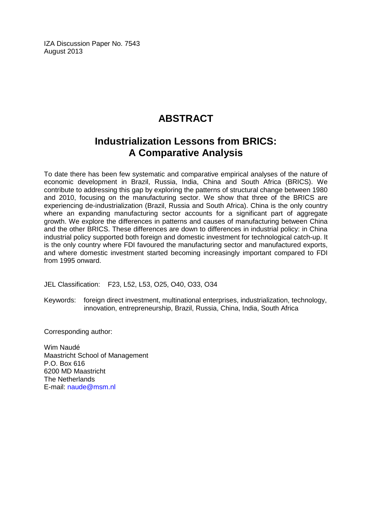IZA Discussion Paper No. 7543 August 2013

# **ABSTRACT**

# **Industrialization Lessons from BRICS: A Comparative Analysis**

To date there has been few systematic and comparative empirical analyses of the nature of economic development in Brazil, Russia, India, China and South Africa (BRICS). We contribute to addressing this gap by exploring the patterns of structural change between 1980 and 2010, focusing on the manufacturing sector. We show that three of the BRICS are experiencing de-industrialization (Brazil, Russia and South Africa). China is the only country where an expanding manufacturing sector accounts for a significant part of aggregate growth. We explore the differences in patterns and causes of manufacturing between China and the other BRICS. These differences are down to differences in industrial policy: in China industrial policy supported both foreign and domestic investment for technological catch-up. It is the only country where FDI favoured the manufacturing sector and manufactured exports, and where domestic investment started becoming increasingly important compared to FDI from 1995 onward.

JEL Classification: F23, L52, L53, O25, O40, O33, O34

Keywords: foreign direct investment, multinational enterprises, industrialization, technology, innovation, entrepreneurship, Brazil, Russia, China, India, South Africa

Corresponding author:

Wim Naudé Maastricht School of Management P.O. Box 616 6200 MD Maastricht The Netherlands E-mail: [naude@msm.nl](mailto:naude@msm.nl)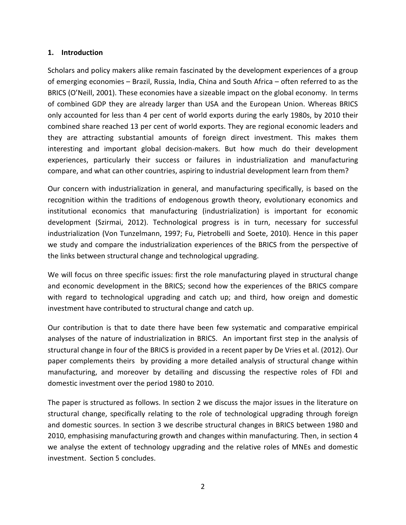### **1. Introduction**

Scholars and policy makers alike remain fascinated by the development experiences of a group of emerging economies – Brazil, Russia, India, China and South Africa – often referred to as the BRICS (O'Neill, 2001). These economies have a sizeable impact on the global economy. In terms of combined GDP they are already larger than USA and the European Union. Whereas BRICS only accounted for less than 4 per cent of world exports during the early 1980s, by 2010 their combined share reached 13 per cent of world exports. They are regional economic leaders and they are attracting substantial amounts of foreign direct investment. This makes them interesting and important global decision-makers. But how much do their development experiences, particularly their success or failures in industrialization and manufacturing compare, and what can other countries, aspiring to industrial development learn from them?

Our concern with industrialization in general, and manufacturing specifically, is based on the recognition within the traditions of endogenous growth theory, evolutionary economics and institutional economics that manufacturing (industrialization) is important for economic development (Szirmai, 2012). Technological progress is in turn, necessary for successful industrialization (Von Tunzelmann, 1997; Fu, Pietrobelli and Soete, 2010). Hence in this paper we study and compare the industrialization experiences of the BRICS from the perspective of the links between structural change and technological upgrading.

We will focus on three specific issues: first the role manufacturing played in structural change and economic development in the BRICS; second how the experiences of the BRICS compare with regard to technological upgrading and catch up; and third, how oreign and domestic investment have contributed to structural change and catch up.

Our contribution is that to date there have been few systematic and comparative empirical analyses of the nature of industrialization in BRICS. An important first step in the analysis of structural change in four of the BRICS is provided in a recent paper by De Vries et al. (2012). Our paper complements theirs by providing a more detailed analysis of structural change within manufacturing, and moreover by detailing and discussing the respective roles of FDI and domestic investment over the period 1980 to 2010.

The paper is structured as follows. In section 2 we discuss the major issues in the literature on structural change, specifically relating to the role of technological upgrading through foreign and domestic sources. In section 3 we describe structural changes in BRICS between 1980 and 2010, emphasising manufacturing growth and changes within manufacturing. Then, in section 4 we analyse the extent of technology upgrading and the relative roles of MNEs and domestic investment. Section 5 concludes.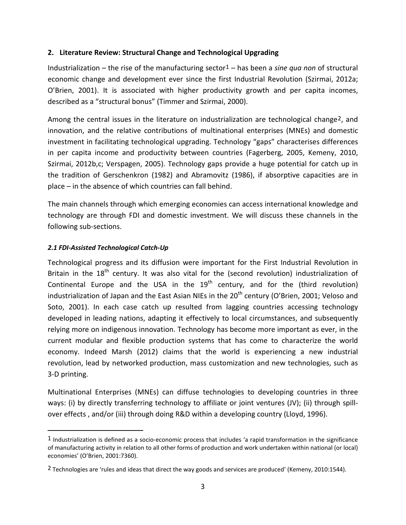# **2. Literature Review: Structural Change and Technological Upgrading**

Industrialization – the rise of the manufacturing sector1 – has been a *sine qua non* of structural economic change and development ever since the first Industrial Revolution (Szirmai, 2012a; O'Brien, 2001). It is associated with higher productivity growth and per capita incomes, described as a "structural bonus" (Timmer and Szirmai, 2000).

Among the central issues in the literature on industrialization are technological change[2,](#page-4-0) and innovation, and the relative contributions of multinational enterprises (MNEs) and domestic investment in facilitating technological upgrading. Technology "gaps" characterises differences in per capita income and productivity between countries (Fagerberg, 2005, Kemeny, 2010, Szirmai, 2012b,c; Verspagen, 2005). Technology gaps provide a huge potential for catch up in the tradition of Gerschenkron (1982) and Abramovitz (1986), if absorptive capacities are in place – in the absence of which countries can fall behind.

The main channels through which emerging economies can access international knowledge and technology are through FDI and domestic investment. We will discuss these channels in the following sub-sections.

# *2.1 FDI-Assisted Technological Catch-Up*

 $\overline{a}$ 

Technological progress and its diffusion were important for the First Industrial Revolution in Britain in the 18<sup>th</sup> century. It was also vital for the (second revolution) industrialization of Continental Europe and the USA in the  $19<sup>th</sup>$  century, and for the (third revolution) industrialization of Japan and the East Asian NIEs in the  $20<sup>th</sup>$  century (O'Brien, 2001; Veloso and Soto, 2001). In each case catch up resulted from lagging countries accessing technology developed in leading nations, adapting it effectively to local circumstances, and subsequently relying more on indigenous innovation. Technology has become more important as ever, in the current modular and flexible production systems that has come to characterize the world economy. Indeed Marsh (2012) claims that the world is experiencing a new industrial revolution, lead by networked production, mass customization and new technologies, such as 3-D printing.

Multinational Enterprises (MNEs) can diffuse technologies to developing countries in three ways: (i) by directly transferring technology to affiliate or joint ventures (JV); (ii) through spillover effects , and/or (iii) through doing R&D within a developing country (Lloyd, 1996).

<sup>1</sup> Industrialization is defined as a socio-economic process that includes 'a rapid transformation in the significance of manufacturing activity in relation to all other forms of production and work undertaken within national (or local) economies' (O'Brien, 2001:7360).

<span id="page-4-1"></span><span id="page-4-0"></span><sup>2</sup> Technologies are 'rules and ideas that direct the way goods and services are produced' (Kemeny, 2010:1544).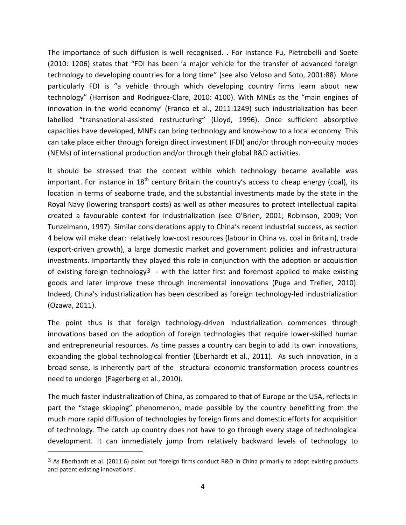The importance of such diffusion is well recognised. . For instance Fu, Pietrobelli and Soete (2010: 1206) states that "FDI has been 'a major vehicle for the transfer of advanced foreign technology to developing countries for a long time" (see also Veloso and Soto, 2001:88). More particularly FDI is "a vehicle through which developing country firms learn about new technology" (Harrison and Rodriguez-Clare, 2010: 4100). With MNEs as the "main engines of innovation in the world economy' (Franco et al., 2011:1249) such industrialization has been labelled "transnational-assisted restructuring" (Lloyd, 1996). Once sufficient absorptive capacities have developed, MNEs can bring technology and know-how to a local economy. This can take place either through foreign direct investment (FDI) and/or through non-equity modes (NEMs) of international production and/or through their global R&D activities.

It should be stressed that the context within which technology became available was important. For instance in  $18<sup>th</sup>$  century Britain the country's access to cheap energy (coal), its location in terms of seaborne trade, and the substantial investments made by the state in the Royal Navy (lowering transport costs) as well as other measures to protect intellectual capital created a favourable context for industrialization (see O'Brien, 2001; Robinson, 2009; Von Tunzelmann, 1997). Similar considerations apply to China's recent industrial success, as section 4 below will make clear: relatively low-cost resources (labour in China vs. coal in Britain), trade (export-driven growth), a large domestic market and government policies and infrastructural investments. Importantly they played this role in conjunction with the adoption or acquisition of existing foreign technology<sup>3</sup> - with the latter first and foremost applied to make existing goods and later improve these through incremental innovations (Puga and Trefler, 2010). Indeed, China's industrialization has been described as foreign technology-led industrialization (Ozawa, 2011).

The point thus is that foreign technology-driven industrialization commences through innovations based on the adoption of foreign technologies that require lower-skilled human and entrepreneurial resources. As time passes a country can begin to add its own innovations, expanding the global technological frontier (Eberhardt et al., 2011). As such innovation, in a broad sense, is inherently part of the structural economic transformation process countries need to undergo (Fagerberg et al., 2010).

The much faster industrialization of China, as compared to that of Europe or the USA, reflects in part the "stage skipping" phenomenon, made possible by the country benefitting from the much more rapid diffusion of technologies by foreign firms and domestic efforts for acquisition of technology. The catch up country does not have to go through every stage of technological development. It can immediately jump from relatively backward levels of technology to

<span id="page-5-0"></span><sup>3</sup> As Eberhardt et al. (2011:6) point out 'foreign firms conduct R&D in China primarily to adopt existing products and patent existing innovations'.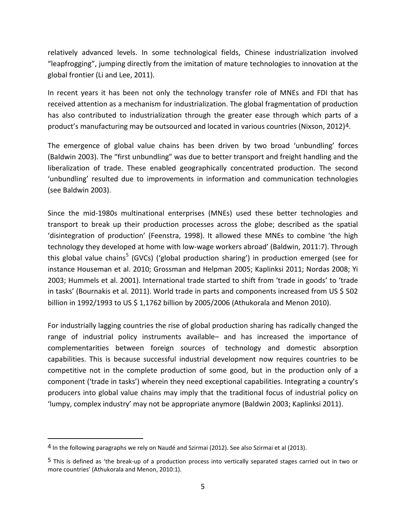relatively advanced levels. In some technological fields, Chinese industrialization involved "leapfrogging", jumping directly from the imitation of mature technologies to innovation at the global frontier (Li and Lee, 2011).

In recent years it has been not only the technology transfer role of MNEs and FDI that has received attention as a mechanism for industrialization. The global fragmentation of production has also contributed to industrialization through the greater ease through which parts of a product's manufacturing may be outsourced and located in various countries (Nixson, 2012)[4](#page-5-0).

The emergence of global value chains has been driven by two broad 'unbundling' forces (Baldwin 2003). The "first unbundling" was due to better transport and freight handling and the liberalization of trade. These enabled geographically concentrated production. The second 'unbundling' resulted due to improvements in information and communication technologies (see Baldwin 2003).

Since the mid-1980s multinational enterprises (MNEs) used these better technologies and transport to break up their production processes across the globe; described as the spatial 'disintegration of production' (Feenstra, 1998). It allowed these MNEs to combine 'the high technology they developed at home with low-wage workers abroad' (Baldwin, 2011:7). Through this global value chains<sup>[5](#page-6-0)</sup> (GVCs) ('global production sharing') in production emerged (see for instance Houseman et al. 2010; Grossman and Helpman 2005; Kaplinksi 2011; Nordas 2008; Yi 2003; Hummels et al. 2001). International trade started to shift from 'trade in goods' to 'trade in tasks' (Bournakis et al. 2011). World trade in parts and components increased from US \$ 502 billion in 1992/1993 to US \$ 1,1762 billion by 2005/2006 (Athukorala and Menon 2010).

For industrially lagging countries the rise of global production sharing has radically changed the range of industrial policy instruments available– and has increased the importance of complementarities between foreign sources of technology and domestic absorption capabilities. This is because successful industrial development now requires countries to be competitive not in the complete production of some good, but in the production only of a component ('trade in tasks') wherein they need exceptional capabilities. Integrating a country's producers into global value chains may imply that the traditional focus of industrial policy on 'lumpy, complex industry' may not be appropriate anymore (Baldwin 2003; Kaplinksi 2011).

<span id="page-6-1"></span><sup>4</sup> In the following paragraphs we rely on Naudé and Szirmai (2012). See also Szirmai et al (2013).

<span id="page-6-0"></span><sup>5</sup> This is defined as 'the break-up of a production process into vertically separated stages carried out in two or more countries' (Athukorala and Menon, 2010:1).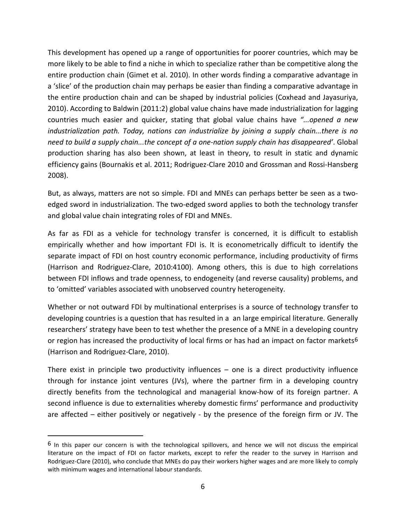This development has opened up a range of opportunities for poorer countries, which may be more likely to be able to find a niche in which to specialize rather than be competitive along the entire production chain (Gimet et al. 2010). In other words finding a comparative advantage in a 'slice' of the production chain may perhaps be easier than finding a comparative advantage in the entire production chain and can be shaped by industrial policies (Coxhead and Jayasuriya, 2010). According to Baldwin (2011:2) global value chains have made industrialization for lagging countries much easier and quicker, stating that global value chains have *"...opened a new industrialization path. Today, nations can industrialize by joining a supply chain...there is no need to build a supply chain...the concept of a one-nation supply chain has disappeared'*. Global production sharing has also been shown, at least in theory, to result in static and dynamic efficiency gains (Bournakis et al. 2011; Rodriguez-Clare 2010 and Grossman and Rossi-Hansberg 2008).

But, as always, matters are not so simple. FDI and MNEs can perhaps better be seen as a twoedged sword in industrialization. The two-edged sword applies to both the technology transfer and global value chain integrating roles of FDI and MNEs.

As far as FDI as a vehicle for technology transfer is concerned, it is difficult to establish empirically whether and how important FDI is. It is econometrically difficult to identify the separate impact of FDI on host country economic performance, including productivity of firms (Harrison and Rodriguez-Clare, 2010:4100). Among others, this is due to high correlations between FDI inflows and trade openness, to endogeneity (and reverse causality) problems, and to 'omitted' variables associated with unobserved country heterogeneity.

Whether or not outward FDI by multinational enterprises is a source of technology transfer to developing countries is a question that has resulted in a an large empirical literature. Generally researchers' strategy have been to test whether the presence of a MNE in a developing country or region has increased the productivity of local firms or has had an impact on factor markets<sup>[6](#page-6-1)</sup> (Harrison and Rodriguez-Clare, 2010).

There exist in principle two productivity influences  $-$  one is a direct productivity influence through for instance joint ventures (JVs), where the partner firm in a developing country directly benefits from the technological and managerial know-how of its foreign partner. A second influence is due to externalities whereby domestic firms' performance and productivity are affected – either positively or negatively - by the presence of the foreign firm or JV. The

<span id="page-7-0"></span><sup>6</sup> In this paper our concern is with the technological spillovers, and hence we will not discuss the empirical literature on the impact of FDI on factor markets, except to refer the reader to the survey in Harrison and Rodriguez-Clare (2010), who conclude that MNEs do pay their workers higher wages and are more likely to comply with minimum wages and international labour standards.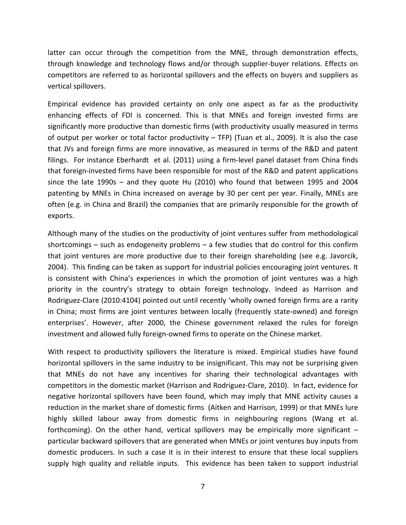latter can occur through the competition from the MNE, through demonstration effects, through knowledge and technology flows and/or through supplier-buyer relations. Effects on competitors are referred to as horizontal spillovers and the effects on buyers and suppliers as vertical spillovers.

Empirical evidence has provided certainty on only one aspect as far as the productivity enhancing effects of FDI is concerned. This is that MNEs and foreign invested firms are significantly more productive than domestic firms (with productivity usually measured in terms of output per worker or total factor productivity – TFP) (Tuan et al., 2009). It is also the case that JVs and foreign firms are more innovative, as measured in terms of the R&D and patent filings. For instance Eberhardt et al. (2011) using a firm-level panel dataset from China finds that foreign-invested firms have been responsible for most of the R&D and patent applications since the late 1990s – and they quote Hu (2010) who found that between 1995 and 2004 patenting by MNEs in China increased on average by 30 per cent per year. Finally, MNEs are often (e.g. in China and Brazil) the companies that are primarily responsible for the growth of exports.

Although many of the studies on the productivity of joint ventures suffer from methodological shortcomings – such as endogeneity problems – a few studies that do control for this confirm that joint ventures are more productive due to their foreign shareholding (see e.g. Javorcik, 2004). This finding can be taken as support for industrial policies encouraging joint ventures. It is consistent with China's experiences in which the promotion of joint ventures was a high priority in the country's strategy to obtain foreign technology. Indeed as Harrison and Rodriguez-Clare (2010:4104) pointed out until recently 'wholly owned foreign firms are a rarity in China; most firms are joint ventures between locally (frequently state-owned) and foreign enterprises'. However, after 2000, the Chinese government relaxed the rules for foreign investment and allowed fully foreign-owned firms to operate on the Chinese market.

With respect to productivity spillovers the literature is mixed. Empirical studies have found horizontal spillovers in the same industry to be insignificant. This may not be surprising given that MNEs do not have any incentives for sharing their technological advantages with competitors in the domestic market (Harrison and Rodriguez-Clare, 2010). In fact, evidence for negative horizontal spillovers have been found, which may imply that MNE activity causes a reduction in the market share of domestic firms (Aitken and Harrison, 1999) or that MNEs lure highly skilled labour away from domestic firms in neighbouring regions (Wang et al. forthcoming). On the other hand, vertical spillovers may be empirically more significant – particular backward spillovers that are generated when MNEs or joint ventures buy inputs from domestic producers. In such a case it is in their interest to ensure that these local suppliers supply high quality and reliable inputs. This evidence has been taken to support industrial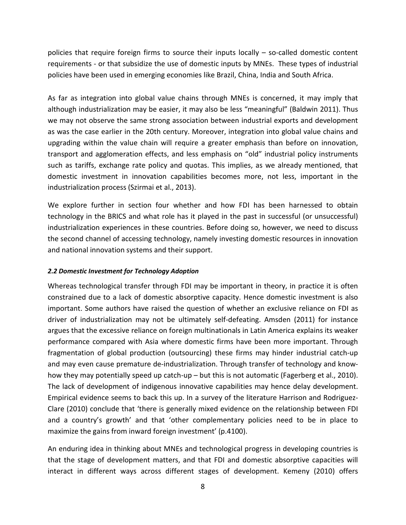policies that require foreign firms to source their inputs locally – so-called domestic content requirements - or that subsidize the use of domestic inputs by MNEs. These types of industrial policies have been used in emerging economies like Brazil, China, India and South Africa.

As far as integration into global value chains through MNEs is concerned, it may imply that although industrialization may be easier, it may also be less "meaningful" (Baldwin 2011). Thus we may not observe the same strong association between industrial exports and development as was the case earlier in the 20th century. Moreover, integration into global value chains and upgrading within the value chain will require a greater emphasis than before on innovation, transport and agglomeration effects, and less emphasis on "old" industrial policy instruments such as tariffs, exchange rate policy and quotas. This implies, as we already mentioned, that domestic investment in innovation capabilities becomes more, not less, important in the industrialization process (Szirmai et al., 2013).

We explore further in section four whether and how FDI has been harnessed to obtain technology in the BRICS and what role has it played in the past in successful (or unsuccessful) industrialization experiences in these countries. Before doing so, however, we need to discuss the second channel of accessing technology, namely investing domestic resources in innovation and national innovation systems and their support.

# *2.2 Domestic Investment for Technology Adoption*

Whereas technological transfer through FDI may be important in theory, in practice it is often constrained due to a lack of domestic absorptive capacity. Hence domestic investment is also important. Some authors have raised the question of whether an exclusive reliance on FDI as driver of industrialization may not be ultimately self-defeating. Amsden (2011) for instance argues that the excessive reliance on foreign multinationals in Latin America explains its weaker performance compared with Asia where domestic firms have been more important. Through fragmentation of global production (outsourcing) these firms may hinder industrial catch-up and may even cause premature de-industrialization. Through transfer of technology and knowhow they may potentially speed up catch-up – but this is not automatic (Fagerberg et al., 2010). The lack of development of indigenous innovative capabilities may hence delay development. Empirical evidence seems to back this up. In a survey of the literature Harrison and Rodriguez-Clare (2010) conclude that 'there is generally mixed evidence on the relationship between FDI and a country's growth' and that 'other complementary policies need to be in place to maximize the gains from inward foreign investment' (p.4100).

An enduring idea in thinking about MNEs and technological progress in developing countries is that the stage of development matters, and that FDI and domestic absorptive capacities will interact in different ways across different stages of development. Kemeny (2010) offers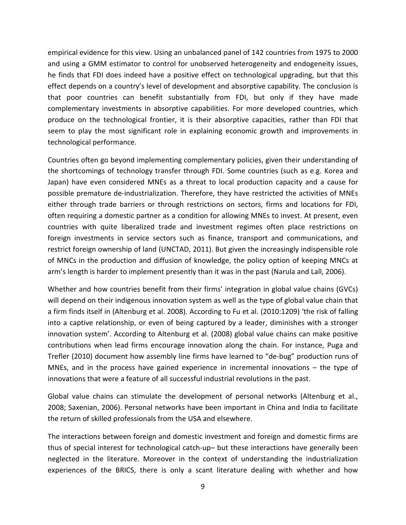empirical evidence for this view. Using an unbalanced panel of 142 countries from 1975 to 2000 and using a GMM estimator to control for unobserved heterogeneity and endogeneity issues, he finds that FDI does indeed have a positive effect on technological upgrading, but that this effect depends on a country's level of development and absorptive capability. The conclusion is that poor countries can benefit substantially from FDI, but only if they have made complementary investments in absorptive capabilities. For more developed countries, which produce on the technological frontier, it is their absorptive capacities, rather than FDI that seem to play the most significant role in explaining economic growth and improvements in technological performance.

Countries often go beyond implementing complementary policies, given their understanding of the shortcomings of technology transfer through FDI. Some countries (such as e.g. Korea and Japan) have even considered MNEs as a threat to local production capacity and a cause for possible premature de-industrialization. Therefore, they have restricted the activities of MNEs either through trade barriers or through restrictions on sectors, firms and locations for FDI, often requiring a domestic partner as a condition for allowing MNEs to invest. At present, even countries with quite liberalized trade and investment regimes often place restrictions on foreign investments in service sectors such as finance, transport and communications, and restrict foreign ownership of land (UNCTAD, 2011). But given the increasingly indispensible role of MNCs in the production and diffusion of knowledge, the policy option of keeping MNCs at arm's length is harder to implement presently than it was in the past (Narula and Lall, 2006).

Whether and how countries benefit from their firms' integration in global value chains (GVCs) will depend on their indigenous innovation system as well as the type of global value chain that a firm finds itself in (Altenburg et al. 2008). According to Fu et al. (2010:1209) 'the risk of falling into a captive relationship, or even of being captured by a leader, diminishes with a stronger innovation system'. According to Altenburg et al. (2008) global value chains can make positive contributions when lead firms encourage innovation along the chain. For instance, Puga and Trefler (2010) document how assembly line firms have learned to "de-bug" production runs of MNEs, and in the process have gained experience in incremental innovations  $-$  the type of innovations that were a feature of all successful industrial revolutions in the past.

Global value chains can stimulate the development of personal networks (Altenburg et al., 2008; Saxenian, 2006). Personal networks have been important in China and India to facilitate the return of skilled professionals from the USA and elsewhere.

The interactions between foreign and domestic investment and foreign and domestic firms are thus of special interest for technological catch-up– but these interactions have generally been neglected in the literature. Moreover in the context of understanding the industrialization experiences of the BRICS, there is only a scant literature dealing with whether and how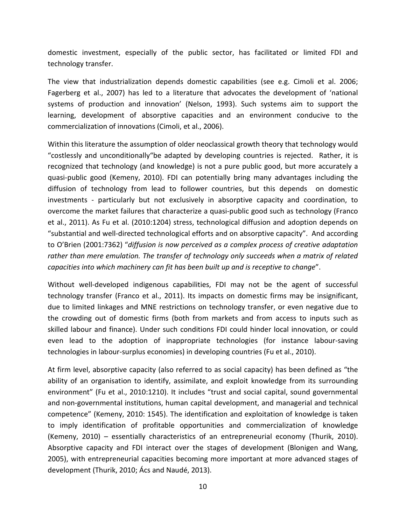domestic investment, especially of the public sector, has facilitated or limited FDI and technology transfer.

The view that industrialization depends domestic capabilities (see e.g. Cimoli et al. 2006; Fagerberg et al., 2007) has led to a literature that advocates the development of 'national systems of production and innovation' (Nelson, 1993). Such systems aim to support the learning, development of absorptive capacities and an environment conducive to the commercialization of innovations (Cimoli, et al., 2006).

Within this literature the assumption of older neoclassical growth theory that technology would "costlessly and unconditionally"be adapted by developing countries is rejected. Rather, it is recognized that technology (and knowledge) is not a pure public good, but more accurately a quasi-public good (Kemeny, 2010). FDI can potentially bring many advantages including the diffusion of technology from lead to follower countries, but this depends on domestic investments - particularly but not exclusively in absorptive capacity and coordination, to overcome the market failures that characterize a quasi-public good such as technology (Franco et al., 2011). As Fu et al. (2010:1204) stress, technological diffusion and adoption depends on "substantial and well-directed technological efforts and on absorptive capacity". And according to O'Brien (2001:7362) "*diffusion is now perceived as a complex process of creative adaptation rather than mere emulation. The transfer of technology only succeeds when a matrix of related capacities into which machinery can fit has been built up and is receptive to change*".

Without well-developed indigenous capabilities, FDI may not be the agent of successful technology transfer (Franco et al., 2011). Its impacts on domestic firms may be insignificant, due to limited linkages and MNE restrictions on technology transfer, or even negative due to the crowding out of domestic firms (both from markets and from access to inputs such as skilled labour and finance). Under such conditions FDI could hinder local innovation, or could even lead to the adoption of inappropriate technologies (for instance labour-saving technologies in labour-surplus economies) in developing countries (Fu et al., 2010).

At firm level, absorptive capacity (also referred to as social capacity) has been defined as "the ability of an organisation to identify, assimilate, and exploit knowledge from its surrounding environment" (Fu et al., 2010:1210). It includes "trust and social capital, sound governmental and non-governmental institutions, human capital development, and managerial and technical competence" (Kemeny, 2010: 1545). The identification and exploitation of knowledge is taken to imply identification of profitable opportunities and commercialization of knowledge (Kemeny, 2010) – essentially characteristics of an entrepreneurial economy (Thurik, 2010). Absorptive capacity and FDI interact over the stages of development (Blonigen and Wang, 2005), with entrepreneurial capacities becoming more important at more advanced stages of development (Thurik, 2010; Ács and Naudé, 2013).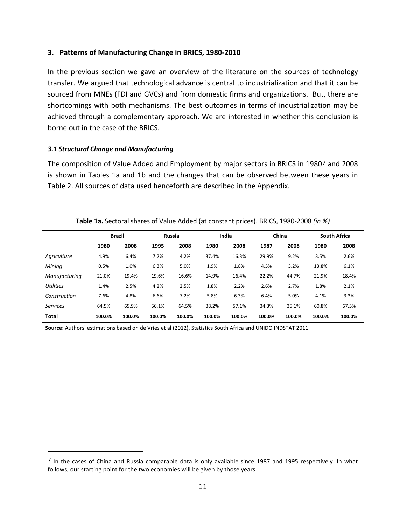### **3. Patterns of Manufacturing Change in BRICS, 1980-2010**

In the previous section we gave an overview of the literature on the sources of technology transfer. We argued that technological advance is central to industrialization and that it can be sourced from MNEs (FDI and GVCs) and from domestic firms and organizations. But, there are shortcomings with both mechanisms. The best outcomes in terms of industrialization may be achieved through a complementary approach. We are interested in whether this conclusion is borne out in the case of the BRICS.

#### *3.1 Structural Change and Manufacturing*

<span id="page-12-0"></span> $\overline{a}$ 

The composition of Value Added and Employment by major sectors in BRICS in 1980[7](#page-7-0) and 2008 is shown in Tables 1a and 1b and the changes that can be observed between these years in Table 2. All sources of data used henceforth are described in the Appendix.

|                  |        | <b>Brazil</b> |        | <b>Russia</b> |        | India  |        | China  |        | <b>South Africa</b> |
|------------------|--------|---------------|--------|---------------|--------|--------|--------|--------|--------|---------------------|
|                  | 1980   | 2008          | 1995   | 2008          | 1980   | 2008   | 1987   | 2008   | 1980   | 2008                |
| Agriculture      | 4.9%   | 6.4%          | 7.2%   | 4.2%          | 37.4%  | 16.3%  | 29.9%  | 9.2%   | 3.5%   | 2.6%                |
| Mining           | 0.5%   | 1.0%          | 6.3%   | 5.0%          | 1.9%   | 1.8%   | 4.5%   | 3.2%   | 13.8%  | 6.1%                |
| Manufacturing    | 21.0%  | 19.4%         | 19.6%  | 16.6%         | 14.9%  | 16.4%  | 22.2%  | 44.7%  | 21.9%  | 18.4%               |
| <b>Utilities</b> | 1.4%   | 2.5%          | 4.2%   | 2.5%          | 1.8%   | 2.2%   | 2.6%   | 2.7%   | 1.8%   | 2.1%                |
| Construction     | 7.6%   | 4.8%          | 6.6%   | 7.2%          | 5.8%   | 6.3%   | 6.4%   | 5.0%   | 4.1%   | 3.3%                |
| <b>Services</b>  | 64.5%  | 65.9%         | 56.1%  | 64.5%         | 38.2%  | 57.1%  | 34.3%  | 35.1%  | 60.8%  | 67.5%               |
| <b>Total</b>     | 100.0% | 100.0%        | 100.0% | 100.0%        | 100.0% | 100.0% | 100.0% | 100.0% | 100.0% | 100.0%              |

#### **Table 1a.** Sectoral shares of Value Added (at constant prices). BRICS, 1980-2008 *(in %)*

**Source:** Authors' estimations based on de Vries et al (2012), Statistics South Africa and UNIDO INDSTAT 2011

<sup>7</sup> In the cases of China and Russia comparable data is only available since 1987 and 1995 respectively. In what follows, our starting point for the two economies will be given by those years.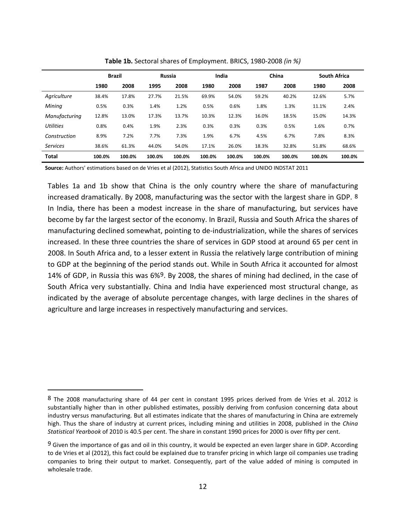|                  | <b>Brazil</b> |        | <b>Russia</b> |        | India  |        |        | China  | <b>South Africa</b> |        |
|------------------|---------------|--------|---------------|--------|--------|--------|--------|--------|---------------------|--------|
|                  | 1980          | 2008   | 1995          | 2008   | 1980   | 2008   | 1987   | 2008   | 1980                | 2008   |
| Agriculture      | 38.4%         | 17.8%  | 27.7%         | 21.5%  | 69.9%  | 54.0%  | 59.2%  | 40.2%  | 12.6%               | 5.7%   |
| Mining           | 0.5%          | 0.3%   | 1.4%          | 1.2%   | 0.5%   | 0.6%   | 1.8%   | 1.3%   | 11.1%               | 2.4%   |
| Manufacturing    | 12.8%         | 13.0%  | 17.3%         | 13.7%  | 10.3%  | 12.3%  | 16.0%  | 18.5%  | 15.0%               | 14.3%  |
| <b>Utilities</b> | 0.8%          | 0.4%   | 1.9%          | 2.3%   | 0.3%   | 0.3%   | 0.3%   | 0.5%   | 1.6%                | 0.7%   |
| Construction     | 8.9%          | 7.2%   | 7.7%          | 7.3%   | 1.9%   | 6.7%   | 4.5%   | 6.7%   | 7.8%                | 8.3%   |
| <b>Services</b>  | 38.6%         | 61.3%  | 44.0%         | 54.0%  | 17.1%  | 26.0%  | 18.3%  | 32.8%  | 51.8%               | 68.6%  |
| <b>Total</b>     | 100.0%        | 100.0% | 100.0%        | 100.0% | 100.0% | 100.0% | 100.0% | 100.0% | 100.0%              | 100.0% |

**Table 1b.** Sectoral shares of Employment. BRICS, 1980-2008 *(in %)*

**Source:** Authors' estimations based on de Vries et al (2012), Statistics South Africa and UNIDO INDSTAT 2011

Tables 1a and 1b show that China is the only country where the share of manufacturing increased dramatically. By 2008, manufacturing was the sector with the largest share in GDP. [8](#page-12-0) In India, there has been a modest increase in the share of manufacturing, but services have become by far the largest sector of the economy. In Brazil, Russia and South Africa the shares of manufacturing declined somewhat, pointing to de-industrialization, while the shares of services increased. In these three countries the share of services in GDP stood at around 65 per cent in 2008. In South Africa and, to a lesser extent in Russia the relatively large contribution of mining to GDP at the beginning of the period stands out. While in South Africa it accounted for almost 14% of GDP, in Russia this was 6%[9.](#page-13-0) By 2008, the shares of mining had declined, in the case of South Africa very substantially. China and India have experienced most structural change, as indicated by the average of absolute percentage changes, with large declines in the shares of agriculture and large increases in respectively manufacturing and services.

<span id="page-13-1"></span><sup>8</sup> The 2008 manufacturing share of 44 per cent in constant 1995 prices derived from de Vries et al. 2012 is substantially higher than in other published estimates, possibly deriving from confusion concerning data about industry versus manufacturing. But all estimates indicate that the shares of manufacturing in China are extremely high. Thus the share of industry at current prices, including mining and utilities in 2008, published in the *China Statistical Yearbook* of 2010 is 40.5 per cent. The share in constant 1990 prices for 2000 is over fifty per cent.

<span id="page-13-0"></span><sup>9</sup> Given the importance of gas and oil in this country, it would be expected an even larger share in GDP. According to de Vries et al (2012), this fact could be explained due to transfer pricing in which large oil companies use trading companies to bring their output to market. Consequently, part of the value added of mining is computed in wholesale trade.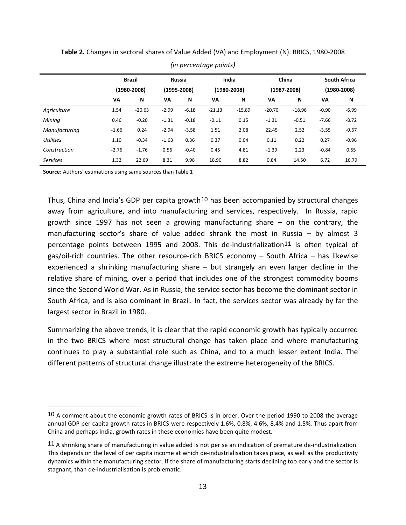|                  |         | <b>Brazil</b> |         | <b>Russia</b>   |          | India           |          | China           |         | <b>South Africa</b> |
|------------------|---------|---------------|---------|-----------------|----------|-----------------|----------|-----------------|---------|---------------------|
|                  |         | (1980-2008)   |         | $(1995 - 2008)$ |          | $(1980 - 2008)$ |          | $(1987 - 2008)$ |         | (1980-2008)         |
|                  | VA      | N             | VA      | N               | VA       | N               | VA       | N               | VA      | N                   |
| Agriculture      | 1.54    | $-20.63$      | $-2.99$ | $-6.18$         | $-21.13$ | $-15.89$        | $-20.70$ | $-18.96$        | $-0.90$ | $-6.99$             |
| Mining           | 0.46    | $-0.20$       | $-1.31$ | $-0.18$         | $-0.11$  | 0.15            | $-1.31$  | $-0.51$         | $-7.66$ | $-8.72$             |
| Manufacturing    | $-1.66$ | 0.24          | $-2.94$ | $-3.58$         | 1.51     | 2.08            | 22.45    | 2.52            | $-3.55$ | $-0.67$             |
| <b>Utilities</b> | 1.10    | $-0.34$       | $-1.63$ | 0.36            | 0.37     | 0.04            | 0.11     | 0.22            | 0.27    | $-0.96$             |
| Construction     | $-2.76$ | $-1.76$       | 0.56    | $-0.40$         | 0.45     | 4.81            | $-1.39$  | 2.23            | $-0.84$ | 0.55                |
| <b>Services</b>  | 1.32    | 22.69         | 8.31    | 9.98            | 18.90    | 8.82            | 0.84     | 14.50           | 6.72    | 16.79               |

**Table 2.** Changes in sectoral shares of Value Added (VA) and Employment (N). BRICS, 1980-2008

*(in percentage points)*

**Source:** Authors' estimations using same sources than Table 1

 $\overline{a}$ 

Thus, China and India's GDP per capita growth<sup>[10](#page-13-1)</sup> has been accompanied by structural changes away from agriculture, and into manufacturing and services, respectively. In Russia, rapid growth since 1997 has not seen a growing manufacturing share – on the contrary, the manufacturing sector's share of value added shrank the most in Russia – by almost 3 percentage points between 1995 and 2008. This de-industrialization[11](#page-14-0) is often typical of gas/oil-rich countries. The other resource-rich BRICS economy – South Africa – has likewise experienced a shrinking manufacturing share – but strangely an even larger decline in the relative share of mining, over a period that includes one of the strongest commodity booms since the Second World War. As in Russia, the service sector has become the dominant sector in South Africa, and is also dominant in Brazil. In fact, the services sector was already by far the largest sector in Brazil in 1980.

Summarizing the above trends, it is clear that the rapid economic growth has typically occurred in the two BRICS where most structural change has taken place and where manufacturing continues to play a substantial role such as China, and to a much lesser extent India. The different patterns of structural change illustrate the extreme heterogeneity of the BRICS.

<sup>10</sup> A comment about the economic growth rates of BRICS is in order. Over the period 1990 to 2008 the average annual GDP per capita growth rates in BRICS were respectively 1.6%, 0.8%, 4.6%, 8.4% and 1.5%. Thus apart from China and perhaps India, growth rates in these economies have been quite modest.

<span id="page-14-1"></span><span id="page-14-0"></span><sup>11</sup> A shrinking share of manufacturing in value added is not per se an indication of premature de-industrialization. This depends on the level of per capita income at which de-industrialisation takes place, as well as the productivity dynamics within the manufacturing sector. If the share of manufacturing starts declining too early and the sector is stagnant, than de-industrialisation is problematic.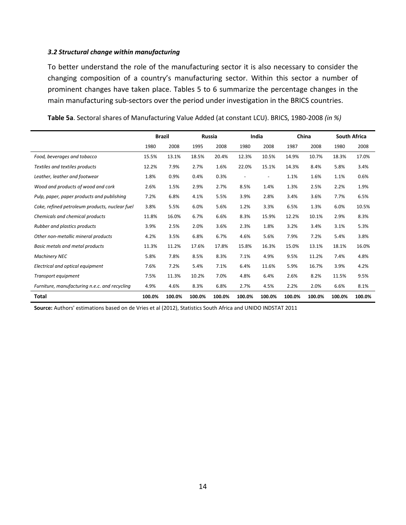#### *3.2 Structural change within manufacturing*

To better understand the role of the manufacturing sector it is also necessary to consider the changing composition of a country's manufacturing sector. Within this sector a number of prominent changes have taken place. Tables 5 to 6 summarize the percentage changes in the main manufacturing sub-sectors over the period under investigation in the BRICS countries.

|                                                |        | <b>Brazil</b> |        | Russia |                          | India  |        | China  |        | <b>South Africa</b> |
|------------------------------------------------|--------|---------------|--------|--------|--------------------------|--------|--------|--------|--------|---------------------|
|                                                | 1980   | 2008          | 1995   | 2008   | 1980                     | 2008   | 1987   | 2008   | 1980   | 2008                |
| Food, beverages and tobacco                    | 15.5%  | 13.1%         | 18.5%  | 20.4%  | 12.3%                    | 10.5%  | 14.9%  | 10.7%  | 18.3%  | 17.0%               |
| Textiles and textiles products                 | 12.2%  | 7.9%          | 2.7%   | 1.6%   | 22.0%                    | 15.1%  | 14.3%  | 8.4%   | 5.8%   | 3.4%                |
| Leather, leather and footwear                  | 1.8%   | 0.9%          | 0.4%   | 0.3%   | $\overline{\phantom{a}}$ | ٠      | 1.1%   | 1.6%   | 1.1%   | 0.6%                |
| Wood and products of wood and cork             | 2.6%   | 1.5%          | 2.9%   | 2.7%   | 8.5%                     | 1.4%   | 1.3%   | 2.5%   | 2.2%   | 1.9%                |
| Pulp, paper, paper products and publishing     | 7.2%   | 6.8%          | 4.1%   | 5.5%   | 3.9%                     | 2.8%   | 3.4%   | 3.6%   | 7.7%   | 6.5%                |
| Coke, refined petroleum products, nuclear fuel | 3.8%   | 5.5%          | 6.0%   | 5.6%   | 1.2%                     | 3.3%   | 6.5%   | 1.3%   | 6.0%   | 10.5%               |
| Chemicals and chemical products                | 11.8%  | 16.0%         | 6.7%   | 6.6%   | 8.3%                     | 15.9%  | 12.2%  | 10.1%  | 2.9%   | 8.3%                |
| Rubber and plastics products                   | 3.9%   | 2.5%          | 2.0%   | 3.6%   | 2.3%                     | 1.8%   | 3.2%   | 3.4%   | 3.1%   | 5.3%                |
| Other non-metallic mineral products            | 4.2%   | 3.5%          | 6.8%   | 6.7%   | 4.6%                     | 5.6%   | 7.9%   | 7.2%   | 5.4%   | 3.8%                |
| <b>Basic metals and metal products</b>         | 11.3%  | 11.2%         | 17.6%  | 17.8%  | 15.8%                    | 16.3%  | 15.0%  | 13.1%  | 18.1%  | 16.0%               |
| <b>Machinery NEC</b>                           | 5.8%   | 7.8%          | 8.5%   | 8.3%   | 7.1%                     | 4.9%   | 9.5%   | 11.2%  | 7.4%   | 4.8%                |
| Electrical and optical equipment               | 7.6%   | 7.2%          | 5.4%   | 7.1%   | 6.4%                     | 11.6%  | 5.9%   | 16.7%  | 3.9%   | 4.2%                |
| Transport equipment                            | 7.5%   | 11.3%         | 10.2%  | 7.0%   | 4.8%                     | 6.4%   | 2.6%   | 8.2%   | 11.5%  | 9.5%                |
| Furniture, manufacturing n.e.c. and recycling  | 4.9%   | 4.6%          | 8.3%   | 6.8%   | 2.7%                     | 4.5%   | 2.2%   | 2.0%   | 6.6%   | 8.1%                |
| Total                                          | 100.0% | 100.0%        | 100.0% | 100.0% | 100.0%                   | 100.0% | 100.0% | 100.0% | 100.0% | 100.0%              |

**Table 5a**. Sectoral shares of Manufacturing Value Added (at constant LCU). BRICS, 1980-2008 *(in %)*

**Source:** Authors' estimations based on de Vries et al (2012), Statistics South Africa and UNIDO INDSTAT 2011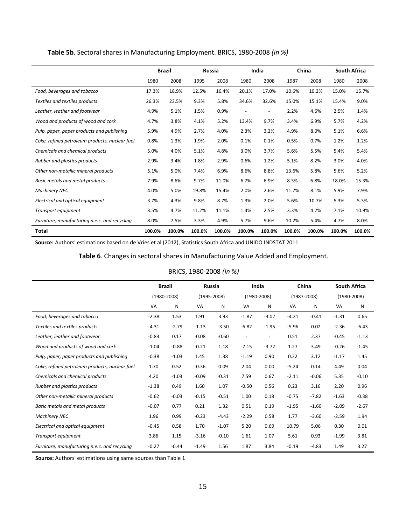|                                                |        | <b>Brazil</b> | Russia |        | India                    |        |        | China  | <b>South Africa</b> |        |
|------------------------------------------------|--------|---------------|--------|--------|--------------------------|--------|--------|--------|---------------------|--------|
|                                                | 1980   | 2008          | 1995   | 2008   | 1980                     | 2008   | 1987   | 2008   | 1980                | 2008   |
| Food, beverages and tobacco                    | 17.3%  | 18.9%         | 12.5%  | 16.4%  | 20.1%                    | 17.0%  | 10.6%  | 10.2%  | 15.0%               | 15.7%  |
| Textiles and textiles products                 | 26.3%  | 23.5%         | 9.3%   | 5.8%   | 34.6%                    | 32.6%  | 15.0%  | 15.1%  | 15.4%               | 9.0%   |
| Leather, leather and footwear                  | 4.9%   | 5.1%          | 1.5%   | 0.9%   | $\overline{\phantom{a}}$ |        | 2.2%   | 4.6%   | 2.5%                | 1.4%   |
| Wood and products of wood and cork             | 4.7%   | 3.8%          | 4.1%   | 5.2%   | 13.4%                    | 9.7%   | 3.4%   | 6.9%   | 5.7%                | 4.2%   |
| Pulp, paper, paper products and publishing     | 5.9%   | 4.9%          | 2.7%   | 4.0%   | 2.3%                     | 3.2%   | 4.9%   | 8.0%   | 5.1%                | 6.6%   |
| Coke, refined petroleum products, nuclear fuel | 0.8%   | 1.3%          | 1.9%   | 2.0%   | 0.1%                     | 0.1%   | 0.5%   | 0.7%   | 1.2%                | 1.2%   |
| Chemicals and chemical products                | 5.0%   | 4.0%          | 5.1%   | 4.8%   | 3.0%                     | 3.7%   | 5.6%   | 5.5%   | 5.4%                | 5.4%   |
| Rubber and plastics products                   | 2.9%   | 3.4%          | 1.8%   | 2.9%   | 0.6%                     | 1.2%   | 5.1%   | 8.2%   | 3.0%                | 4.0%   |
| Other non-metallic mineral products            | 5.1%   | 5.0%          | 7.4%   | 6.9%   | 8.6%                     | 8.8%   | 13.6%  | 5.8%   | 5.6%                | 5.2%   |
| Basic metals and metal products                | 7.9%   | 8.6%          | 9.7%   | 11.0%  | 6.7%                     | 6.9%   | 8.3%   | 6.8%   | 18.0%               | 15.3%  |
| <b>Machinery NEC</b>                           | 4.0%   | 5.0%          | 19.8%  | 15.4%  | 2.0%                     | 2.6%   | 11.7%  | 8.1%   | 5.9%                | 7.9%   |
| Electrical and optical equipment               | 3.7%   | 4.3%          | 9.8%   | 8.7%   | 1.3%                     | 2.0%   | 5.6%   | 10.7%  | 5.3%                | 5.3%   |
| Transport equipment                            | 3.5%   | 4.7%          | 11.2%  | 11.1%  | 1.4%                     | 2.5%   | 3.3%   | 4.2%   | 7.1%                | 10.9%  |
| Furniture, manufacturing n.e.c. and recycling  | 8.0%   | 7.5%          | 3.3%   | 4.9%   | 5.7%                     | 9.6%   | 10.2%  | 5.4%   | 4.7%                | 8.0%   |
| <b>Total</b>                                   | 100.0% | 100.0%        | 100.0% | 100.0% | 100.0%                   | 100.0% | 100.0% | 100.0% | 100.0%              | 100.0% |

# **Table 5b**. Sectoral shares in Manufacturing Employment. BRICS, 1980-2008 *(in %)*

**Source:** Authors' estimations based on de Vries et al (2012), Statistics South Africa and UNIDO INDSTAT 2011

#### **Table 6**. Changes in sectoral shares in Manufacturing Value Added and Employment.

#### BRICS, 1980-2008 *(in %)*

|                                                | <b>Brazil</b>   |         | Russia          |         |                          | India                    | China           |         | <b>South Africa</b> |         |
|------------------------------------------------|-----------------|---------|-----------------|---------|--------------------------|--------------------------|-----------------|---------|---------------------|---------|
|                                                | $(1980 - 2008)$ |         | $(1995 - 2008)$ |         |                          | $(1980 - 2008)$          | $(1987 - 2008)$ |         | $(1980 - 2008)$     |         |
|                                                | VA              | N       | VA              | N       | VA                       | N                        | VA              | N       | VA                  | N       |
| Food, beverages and tobacco                    | $-2.38$         | 1.53    | 1.91            | 3.93    | $-1.87$                  | $-3.02$                  | $-4.21$         | $-0.41$ | $-1.31$             | 0.65    |
| Textiles and textiles products                 | $-4.31$         | $-2.79$ | $-1.13$         | $-3.50$ | $-6.82$                  | $-1.95$                  | $-5.96$         | 0.02    | $-2.36$             | $-6.43$ |
| Leather, leather and footwear                  | $-0.83$         | 0.17    | $-0.08$         | $-0.60$ | $\overline{\phantom{a}}$ | $\overline{\phantom{a}}$ | 0.51            | 2.37    | $-0.45$             | $-1.13$ |
| Wood and products of wood and cork             | $-1.04$         | $-0.88$ | $-0.21$         | 1.18    | $-7.15$                  | $-3.72$                  | 1.27            | 3.49    | $-0.26$             | $-1.45$ |
| Pulp, paper, paper products and publishing     | $-0.38$         | $-1.03$ | 1.45            | 1.38    | $-1.19$                  | 0.90                     | 0.22            | 3.12    | $-1.17$             | 1.45    |
| Coke, refined petroleum products, nuclear fuel | 1.70            | 0.52    | $-0.36$         | 0.09    | 2.04                     | 0.00                     | $-5.24$         | 0.14    | 4.49                | 0.04    |
| Chemicals and chemical products                | 4.20            | $-1.03$ | $-0.09$         | $-0.31$ | 7.59                     | 0.67                     | $-2.11$         | $-0.06$ | 5.35                | $-0.10$ |
| Rubber and plastics products                   | $-1.38$         | 0.49    | 1.60            | 1.07    | $-0.50$                  | 0.56                     | 0.23            | 3.16    | 2.20                | 0.96    |
| Other non-metallic mineral products            | $-0.62$         | $-0.03$ | $-0.15$         | $-0.51$ | 1.00                     | 0.18                     | $-0.75$         | $-7.82$ | $-1.63$             | $-0.38$ |
| <b>Basic metals and metal products</b>         | $-0.07$         | 0.77    | 0.21            | 1.32    | 0.51                     | 0.19                     | $-1.95$         | $-1.60$ | $-2.09$             | $-2.67$ |
| <b>Machinery NEC</b>                           | 1.96            | 0.99    | $-0.23$         | $-4.43$ | $-2.29$                  | 0.58                     | 1.77            | $-3.60$ | $-2.59$             | 1.94    |
| Electrical and optical equipment               | $-0.45$         | 0.58    | 1.70            | $-1.07$ | 5.20                     | 0.69                     | 10.79           | 5.06    | 0.30                | 0.01    |
| Transport equipment                            | 3.86            | 1.15    | $-3.16$         | $-0.10$ | 1.61                     | 1.07                     | 5.61            | 0.93    | $-1.99$             | 3.81    |
| Furniture, manufacturing n.e.c. and recycling  | $-0.27$         | $-0.44$ | $-1.49$         | 1.56    | 1.87                     | 3.84                     | $-0.19$         | $-4.83$ | 1.49                | 3.27    |

**Source:** Authors' estimations using same sources than Table 1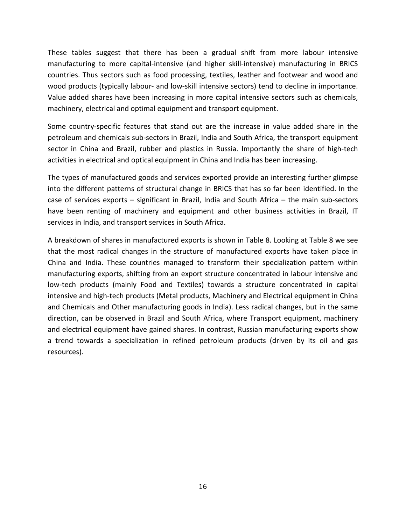These tables suggest that there has been a gradual shift from more labour intensive manufacturing to more capital-intensive (and higher skill-intensive) manufacturing in BRICS countries. Thus sectors such as food processing, textiles, leather and footwear and wood and wood products (typically labour- and low-skill intensive sectors) tend to decline in importance. Value added shares have been increasing in more capital intensive sectors such as chemicals, machinery, electrical and optimal equipment and transport equipment.

Some country-specific features that stand out are the increase in value added share in the petroleum and chemicals sub-sectors in Brazil, India and South Africa, the transport equipment sector in China and Brazil, rubber and plastics in Russia. Importantly the share of high-tech activities in electrical and optical equipment in China and India has been increasing.

The types of manufactured goods and services exported provide an interesting further glimpse into the different patterns of structural change in BRICS that has so far been identified. In the case of services exports – significant in Brazil, India and South Africa – the main sub-sectors have been renting of machinery and equipment and other business activities in Brazil, IT services in India, and transport services in South Africa.

A breakdown of shares in manufactured exports is shown in Table 8. Looking at Table 8 we see that the most radical changes in the structure of manufactured exports have taken place in China and India. These countries managed to transform their specialization pattern within manufacturing exports, shifting from an export structure concentrated in labour intensive and low-tech products (mainly Food and Textiles) towards a structure concentrated in capital intensive and high-tech products (Metal products, Machinery and Electrical equipment in China and Chemicals and Other manufacturing goods in India). Less radical changes, but in the same direction, can be observed in Brazil and South Africa, where Transport equipment, machinery and electrical equipment have gained shares. In contrast, Russian manufacturing exports show a trend towards a specialization in refined petroleum products (driven by its oil and gas resources).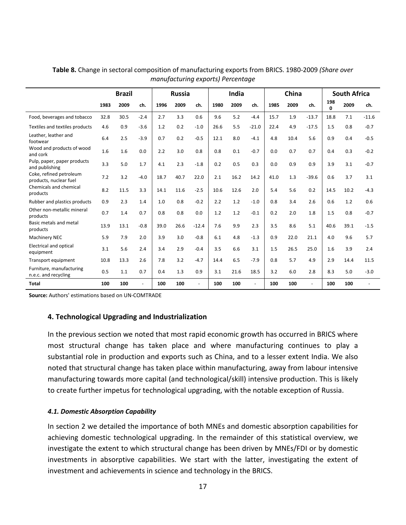|                                                   | <b>Brazil</b> |      |                | <b>Russia</b> |      |         | India |      |         | China |      |                | <b>South Africa</b> |      |         |
|---------------------------------------------------|---------------|------|----------------|---------------|------|---------|-------|------|---------|-------|------|----------------|---------------------|------|---------|
|                                                   | 1983          | 2009 | ch.            | 1996          | 2009 | ch.     | 1980  | 2009 | ch.     | 1985  | 2009 | ch.            | 198<br>$\Omega$     | 2009 | ch.     |
| Food, beverages and tobacco                       | 32.8          | 30.5 | $-2.4$         | 2.7           | 3.3  | 0.6     | 9.6   | 5.2  | $-4.4$  | 15.7  | 1.9  | $-13.7$        | 18.8                | 7.1  | $-11.6$ |
| Textiles and textiles products                    | 4.6           | 0.9  | $-3.6$         | 1.2           | 0.2  | $-1.0$  | 26.6  | 5.5  | $-21.0$ | 22.4  | 4.9  | $-17.5$        | 1.5                 | 0.8  | $-0.7$  |
| Leather, leather and<br>footwear                  | 6.4           | 2.5  | $-3.9$         | 0.7           | 0.2  | $-0.5$  | 12.1  | 8.0  | $-4.1$  | 4.8   | 10.4 | 5.6            | 0.9                 | 0.4  | $-0.5$  |
| Wood and products of wood<br>and cork             | 1.6           | 1.6  | 0.0            | 2.2           | 3.0  | 0.8     | 0.8   | 0.1  | $-0.7$  | 0.0   | 0.7  | 0.7            | 0.4                 | 0.3  | $-0.2$  |
| Pulp, paper, paper products<br>and publishing     | 3.3           | 5.0  | 1.7            | 4.1           | 2.3  | $-1.8$  | 0.2   | 0.5  | 0.3     | 0.0   | 0.9  | 0.9            | 3.9                 | 3.1  | $-0.7$  |
| Coke, refined petroleum<br>products, nuclear fuel | 7.2           | 3.2  | $-4.0$         | 18.7          | 40.7 | 22.0    | 2.1   | 16.2 | 14.2    | 41.0  | 1.3  | $-39.6$        | 0.6                 | 3.7  | 3.1     |
| Chemicals and chemical<br>products                | 8.2           | 11.5 | 3.3            | 14.1          | 11.6 | $-2.5$  | 10.6  | 12.6 | 2.0     | 5.4   | 5.6  | 0.2            | 14.5                | 10.2 | $-4.3$  |
| Rubber and plastics products                      | 0.9           | 2.3  | 1.4            | 1.0           | 0.8  | $-0.2$  | 2.2   | 1.2  | $-1.0$  | 0.8   | 3.4  | 2.6            | 0.6                 | 1.2  | 0.6     |
| Other non-metallic mineral<br>products            | 0.7           | 1.4  | 0.7            | 0.8           | 0.8  | 0.0     | 1.2   | 1.2  | $-0.1$  | 0.2   | 2.0  | 1.8            | 1.5                 | 0.8  | $-0.7$  |
| Basic metals and metal<br>products                | 13.9          | 13.1 | $-0.8$         | 39.0          | 26.6 | $-12.4$ | 7.6   | 9.9  | 2.3     | 3.5   | 8.6  | 5.1            | 40.6                | 39.1 | $-1.5$  |
| Machinery NEC                                     | 5.9           | 7.9  | 2.0            | 3.9           | 3.0  | $-0.8$  | 6.1   | 4.8  | $-1.3$  | 0.9   | 22.0 | 21.1           | 4.0                 | 9.6  | 5.7     |
| <b>Electrical and optical</b><br>equipment        | 3.1           | 5.6  | 2.4            | 3.4           | 2.9  | $-0.4$  | 3.5   | 6.6  | 3.1     | 1.5   | 26.5 | 25.0           | 1.6                 | 3.9  | 2.4     |
| Transport equipment                               | 10.8          | 13.3 | 2.6            | 7.8           | 3.2  | $-4.7$  | 14.4  | 6.5  | $-7.9$  | 0.8   | 5.7  | 4.9            | 2.9                 | 14.4 | 11.5    |
| Furniture, manufacturing<br>n.e.c. and recycling  | 0.5           | 1.1  | 0.7            | 0.4           | 1.3  | 0.9     | 3.1   | 21.6 | 18.5    | 3.2   | 6.0  | 2.8            | 8.3                 | 5.0  | $-3.0$  |
| <b>Total</b>                                      | 100           | 100  | $\blacksquare$ | 100           | 100  |         | 100   | 100  | ÷,      | 100   | 100  | $\blacksquare$ | 100                 | 100  |         |

**Table 8.** Change in sectoral composition of manufacturing exports from BRICS. 1980-2009 *(Share over manufacturing exports) Percentage*

**Source:** Authors' estimations based on UN-COMTRADE

# **4. Technological Upgrading and Industrialization**

In the previous section we noted that most rapid economic growth has occurred in BRICS where most structural change has taken place and where manufacturing continues to play a substantial role in production and exports such as China, and to a lesser extent India. We also noted that structural change has taken place within manufacturing, away from labour intensive manufacturing towards more capital (and technological/skill) intensive production. This is likely to create further impetus for technological upgrading, with the notable exception of Russia.

#### *4.1. Domestic Absorption Capability*

In section 2 we detailed the importance of both MNEs and domestic absorption capabilities for achieving domestic technological upgrading. In the remainder of this statistical overview, we investigate the extent to which structural change has been driven by MNEs/FDI or by domestic investments in absorptive capabilities. We start with the latter, investigating the extent of investment and achievements in science and technology in the BRICS.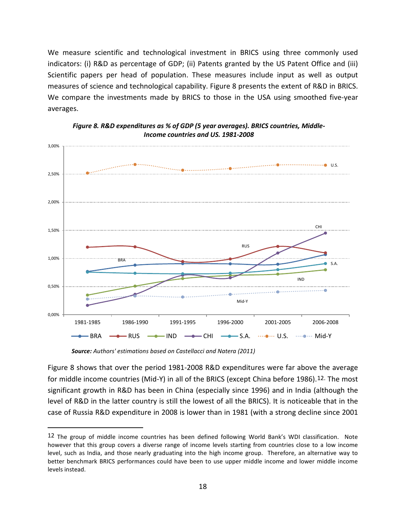We measure scientific and technological investment in BRICS using three commonly used indicators: (i) R&D as percentage of GDP; (ii) Patents granted by the US Patent Office and (iii) Scientific papers per head of population. These measures include input as well as output measures of science and technological capability. Figure 8 presents the extent of R&D in BRICS. We compare the investments made by BRICS to those in the USA using smoothed five-year averages.





*Source: Authors' estimations based on Castellacci and Natera (2011)*

 $\overline{a}$ 

Figure 8 shows that over the period 1981-2008 R&D expenditures were far above the average for middle income countries (Mid-Y) in all of the BRICS (except China before 1986).<sup>[12.](#page-14-1)</sup> The most significant growth in R&D has been in China (especially since 1996) and in India (although the level of R&D in the latter country is still the lowest of all the BRICS). It is noticeable that in the case of Russia R&D expenditure in 2008 is lower than in 1981 (with a strong decline since 2001

<span id="page-19-0"></span><sup>12</sup> The group of middle income countries has been defined following World Bank's WDI classification. Note however that this group covers a diverse range of income levels starting from countries close to a low income level, such as India, and those nearly graduating into the high income group. Therefore, an alternative way to better benchmark BRICS performances could have been to use upper middle income and lower middle income levels instead.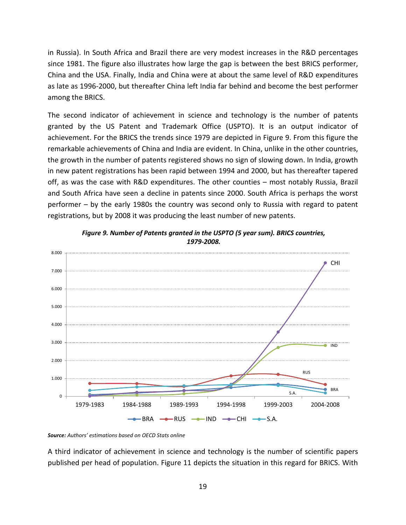in Russia). In South Africa and Brazil there are very modest increases in the R&D percentages since 1981. The figure also illustrates how large the gap is between the best BRICS performer, China and the USA. Finally, India and China were at about the same level of R&D expenditures as late as 1996-2000, but thereafter China left India far behind and become the best performer among the BRICS.

The second indicator of achievement in science and technology is the number of patents granted by the US Patent and Trademark Office (USPTO). It is an output indicator of achievement. For the BRICS the trends since 1979 are depicted in Figure 9. From this figure the remarkable achievements of China and India are evident. In China, unlike in the other countries, the growth in the number of patents registered shows no sign of slowing down. In India, growth in new patent registrations has been rapid between 1994 and 2000, but has thereafter tapered off, as was the case with R&D expenditures. The other counties – most notably Russia, Brazil and South Africa have seen a decline in patents since 2000. South Africa is perhaps the worst performer – by the early 1980s the country was second only to Russia with regard to patent registrations, but by 2008 it was producing the least number of new patents.



*Figure 9. Number of Patents granted in the USPTO (5 year sum). BRICS countries, 1979-2008.*

A third indicator of achievement in science and technology is the number of scientific papers published per head of population. Figure 11 depicts the situation in this regard for BRICS. With

*Source: Authors' estimations based on OECD Stats online*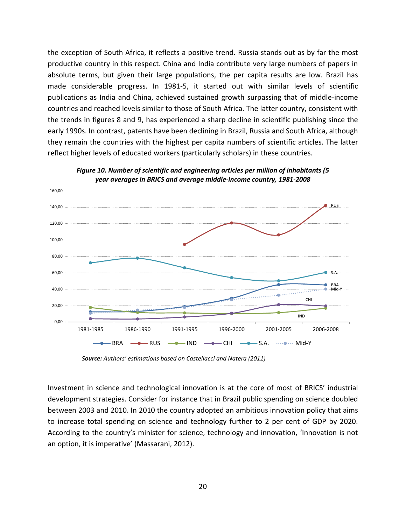the exception of South Africa, it reflects a positive trend. Russia stands out as by far the most productive country in this respect. China and India contribute very large numbers of papers in absolute terms, but given their large populations, the per capita results are low. Brazil has made considerable progress. In 1981-5, it started out with similar levels of scientific publications as India and China, achieved sustained growth surpassing that of middle-income countries and reached levels similar to those of South Africa. The latter country, consistent with the trends in figures 8 and 9, has experienced a sharp decline in scientific publishing since the early 1990s. In contrast, patents have been declining in Brazil, Russia and South Africa, although they remain the countries with the highest per capita numbers of scientific articles. The latter reflect higher levels of educated workers (particularly scholars) in these countries.



*Figure 10. Number of scientific and engineering articles per million of inhabitants (5 year averages in BRICS and average middle-income country, 1981-2008*

*Source: Authors' estimations based on Castellacci and Natera (2011)*

Investment in science and technological innovation is at the core of most of BRICS' industrial development strategies. Consider for instance that in Brazil public spending on science doubled between 2003 and 2010. In 2010 the country adopted an ambitious innovation policy that aims to increase total spending on science and technology further to 2 per cent of GDP by 2020. According to the country's minister for science, technology and innovation, 'Innovation is not an option, it is imperative' (Massarani, 2012).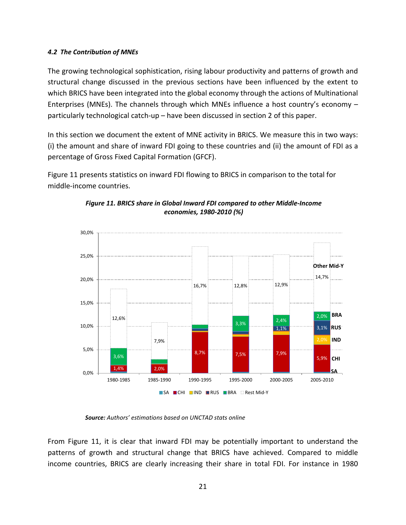# *4.2 The Contribution of MNEs*

The growing technological sophistication, rising labour productivity and patterns of growth and structural change discussed in the previous sections have been influenced by the extent to which BRICS have been integrated into the global economy through the actions of Multinational Enterprises (MNEs). The channels through which MNEs influence a host country's economy – particularly technological catch-up – have been discussed in section 2 of this paper.

In this section we document the extent of MNE activity in BRICS. We measure this in two ways: (i) the amount and share of inward FDI going to these countries and (ii) the amount of FDI as a percentage of Gross Fixed Capital Formation (GFCF).

Figure 11 presents statistics on inward FDI flowing to BRICS in comparison to the total for middle-income countries.



*Figure 11. BRICS share in Global Inward FDI compared to other Middle-Income economies, 1980-2010 (%)*

*Source: Authors' estimations based on UNCTAD stats online*

From Figure 11, it is clear that inward FDI may be potentially important to understand the patterns of growth and structural change that BRICS have achieved. Compared to middle income countries, BRICS are clearly increasing their share in total FDI. For instance in 1980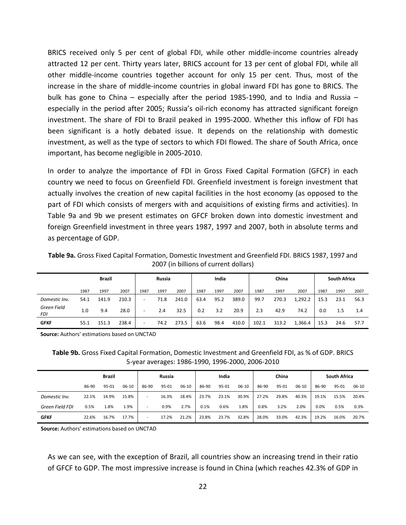BRICS received only 5 per cent of global FDI, while other middle-income countries already attracted 12 per cent. Thirty years later, BRICS account for 13 per cent of global FDI, while all other middle-income countries together account for only 15 per cent. Thus, most of the increase in the share of middle-income countries in global inward FDI has gone to BRICS. The bulk has gone to China – especially after the period 1985-1990, and to India and Russia – especially in the period after 2005; Russia's oil-rich economy has attracted significant foreign investment. The share of FDI to Brazil peaked in 1995-2000. Whether this inflow of FDI has been significant is a hotly debated issue. It depends on the relationship with domestic investment, as well as the type of sectors to which FDI flowed. The share of South Africa, once important, has become negligible in 2005-2010.

In order to analyze the importance of FDI in Gross Fixed Capital Formation (GFCF) in each country we need to focus on Greenfield FDI. Greenfield investment is foreign investment that actually involves the creation of new capital facilities in the host economy (as opposed to the part of FDI which consists of mergers with and acquisitions of existing firms and activities). In Table 9a and 9b we present estimates on GFCF broken down into domestic investment and foreign Greenfield investment in three years 1987, 1997 and 2007, both in absolute terms and as percentage of GDP.

**Table 9a.** Gross Fixed Capital Formation, Domestic Investment and Greenfield FDI. BRICS 1987, 1997 and 2007 (in billions of current dollars)

|                           |      | <b>Brazil</b> |       |                          | Russia |       |      | India |       |       | China |         |      | <b>South Africa</b> |      |
|---------------------------|------|---------------|-------|--------------------------|--------|-------|------|-------|-------|-------|-------|---------|------|---------------------|------|
|                           | 1987 | 1997          | 2007  | 1987                     | 1997   | 2007  | 1987 | 1997  | 2007  | 1987  | 1997  | 2007    | 1987 | 1997                | 2007 |
| Domestic Inv.             | 54.1 | 141.9         | 210.3 | -                        | 71.8   | 241.0 | 63.4 | 95.2  | 389.0 | 99.7  | 270.3 | 1,292.2 | 15.3 | 23.1                | 56.3 |
| Green Field<br><b>FDI</b> | 1.0  | 9.4           | 28.0  | $\overline{\phantom{a}}$ | 2.4    | 32.5  | 0.2  | 3.2   | 20.9  | 2.3   | 42.9  | 74.2    | 0.0  | 1.5                 | 1.4  |
| <b>GFKF</b>               | 55.1 | 151.3         | 238.4 | $\overline{\phantom{0}}$ | 74.2   | 273.5 | 63.6 | 98.4  | 410.0 | 102.1 | 313.2 | 1,366.4 | 15.3 | 24.6                | 57.7 |

**Source:** Authors' estimations based on UNCTAD

**Table 9b.** Gross Fixed Capital Formation, Domestic Investment and Greenfield FDI, as % of GDP. BRICS 5-year averages: 1986-1990, 1996-2000, 2006-2010

|                        |       | Brazil |           |                          | Russia |           |       | India |         |       | China |       |       | <b>South Africa</b> |       |
|------------------------|-------|--------|-----------|--------------------------|--------|-----------|-------|-------|---------|-------|-------|-------|-------|---------------------|-------|
|                        | 86-90 | 95-01  | $06 - 10$ | 86-90                    | 95-01  | $06 - 10$ | 86-90 | 95-01 | $06-10$ | 86-90 | 95-01 | 06-10 | 86-90 | 95-01               | 06-10 |
| Domestic Inv.          | 22.1% | 14.9%  | 15.8%     | $\overline{\phantom{0}}$ | 16.3%  | 18.4%     | 23.7% | 23.1% | 30.9%   | 27.2% | 29.8% | 40.3% | 19.1% | 15.5%               | 20.4% |
| <b>Green Field FDI</b> | 0.5%  | 1.8%   | 1.9%      | $\overline{\phantom{0}}$ | 0.9%   | 2.7%      | 0.1%  | 0.6%  | 1.8%    | 0.8%  | 3.2%  | 2.0%  | 0.0%  | 0.5%                | 0.3%  |
| <b>GFKF</b>            | 22.6% | 16.7%  | 17.7%     | -                        | 17.2%  | 21.2%     | 23.8% | 23.7% | 32.8%   | 28.0% | 33.0% | 42.3% | 19.2% | 16.0%               | 20.7% |

**Source:** Authors' estimations based on UNCTAD

As we can see, with the exception of Brazil, all countries show an increasing trend in their ratio of GFCF to GDP. The most impressive increase is found in China (which reaches 42.3% of GDP in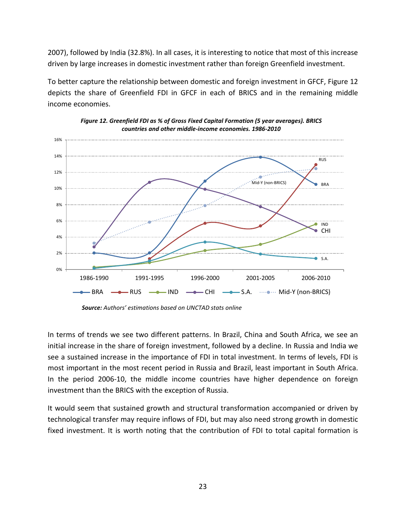2007), followed by India (32.8%). In all cases, it is interesting to notice that most of this increase driven by large increases in domestic investment rather than foreign Greenfield investment.

To better capture the relationship between domestic and foreign investment in GFCF, Figure 12 depicts the share of Greenfield FDI in GFCF in each of BRICS and in the remaining middle income economies.





*Source: Authors' estimations based on UNCTAD stats online*

In terms of trends we see two different patterns. In Brazil, China and South Africa, we see an initial increase in the share of foreign investment, followed by a decline. In Russia and India we see a sustained increase in the importance of FDI in total investment. In terms of levels, FDI is most important in the most recent period in Russia and Brazil, least important in South Africa. In the period 2006-10, the middle income countries have higher dependence on foreign investment than the BRICS with the exception of Russia.

It would seem that sustained growth and structural transformation accompanied or driven by technological transfer may require inflows of FDI, but may also need strong growth in domestic fixed investment. It is worth noting that the contribution of FDI to total capital formation is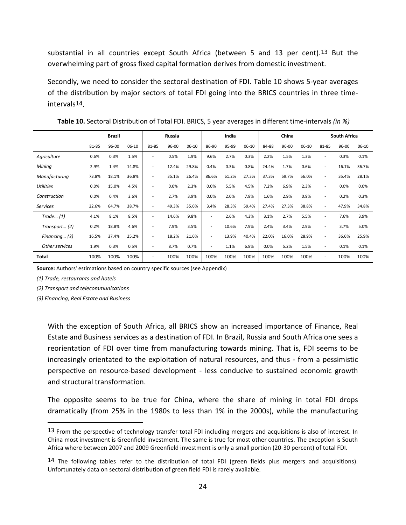substantial in all countries except South Africa (between 5 and [13](#page-19-0) per cent).<sup>13</sup> But the overwhelming part of gross fixed capital formation derives from domestic investment.

Secondly, we need to consider the sectoral destination of FDI. Table 10 shows 5-year averages of the distribution by major sectors of total FDI going into the BRICS countries in three timeinterval[s14](#page-25-0).

|                  |       | <b>Brazil</b> |         |                          | Russia    |           |                          | India |         |       | China |           |                          | <b>South Africa</b> |         |
|------------------|-------|---------------|---------|--------------------------|-----------|-----------|--------------------------|-------|---------|-------|-------|-----------|--------------------------|---------------------|---------|
|                  | 81-85 | 96-00         | $06-10$ | 81-85                    | $96 - 00$ | $06 - 10$ | 86-90                    | 95-99 | $06-10$ | 84-88 | 96-00 | $06 - 10$ | 81-85                    | $96 - 00$           | $06-10$ |
| Agriculture      | 0.6%  | 0.3%          | 1.5%    | $\overline{\phantom{a}}$ | 0.5%      | 1.9%      | 9.6%                     | 2.7%  | 0.3%    | 2.2%  | 1.5%  | 1.3%      | $\overline{\phantom{a}}$ | 0.3%                | 0.1%    |
| Mining           | 2.9%  | 1.4%          | 14.8%   | $\overline{\phantom{a}}$ | 12.4%     | 29.8%     | 0.4%                     | 0.3%  | 0.8%    | 24.4% | 1.7%  | 0.6%      | $\overline{\phantom{a}}$ | 16.1%               | 36.7%   |
| Manufacturing    | 73.8% | 18.1%         | 36.8%   | $\overline{\phantom{0}}$ | 35.1%     | 26.4%     | 86.6%                    | 61.2% | 27.3%   | 37.3% | 59.7% | 56.0%     | $\overline{\phantom{a}}$ | 35.4%               | 28.1%   |
| <b>Utilities</b> | 0.0%  | 15.0%         | 4.5%    | $\overline{\phantom{0}}$ | 0.0%      | 2.3%      | 0.0%                     | 5.5%  | 4.5%    | 7.2%  | 6.9%  | 2.3%      | $\overline{\phantom{a}}$ | 0.0%                | 0.0%    |
| Construction     | 0.0%  | 0.4%          | 3.6%    | $\overline{\phantom{a}}$ | 2.7%      | 3.9%      | 0.0%                     | 2.0%  | 7.8%    | 1.6%  | 2.9%  | 0.9%      | $\overline{\phantom{a}}$ | 0.2%                | 0.3%    |
| <b>Services</b>  | 22.6% | 64.7%         | 38.7%   | ٠                        | 49.3%     | 35.6%     | 3.4%                     | 28.3% | 59.4%   | 27.4% | 27.3% | 38.8%     | $\overline{\phantom{a}}$ | 47.9%               | 34.8%   |
| Trade (1)        | 4.1%  | 8.1%          | 8.5%    | $\overline{\phantom{0}}$ | 14.6%     | 9.8%      | $\overline{\phantom{a}}$ | 2.6%  | 4.3%    | 3.1%  | 2.7%  | 5.5%      | $\overline{\phantom{a}}$ | 7.6%                | 3.9%    |
| Transport (2)    | 0.2%  | 18.8%         | 4.6%    | $\overline{\phantom{0}}$ | 7.9%      | 3.5%      | $\overline{\phantom{a}}$ | 10.6% | 7.9%    | 2.4%  | 3.4%  | 2.9%      | $\overline{\phantom{a}}$ | 3.7%                | 5.0%    |
| Financing (3)    | 16.5% | 37.4%         | 25.2%   | $\overline{\phantom{0}}$ | 18.2%     | 21.6%     | $\overline{\phantom{a}}$ | 13.9% | 40.4%   | 22.0% | 16.0% | 28.9%     |                          | 36.6%               | 25.9%   |
| Other services   | 1.9%  | 0.3%          | 0.5%    | $\overline{a}$           | 8.7%      | 0.7%      | $\overline{\phantom{a}}$ | 1.1%  | 6.8%    | 0.0%  | 5.2%  | 1.5%      | $\overline{\phantom{a}}$ | 0.1%                | 0.1%    |
| <b>Total</b>     | 100%  | 100%          | 100%    | $\overline{\phantom{a}}$ | 100%      | 100%      | 100%                     | 100%  | 100%    | 100%  | 100%  | 100%      | $\overline{\phantom{m}}$ | 100%                | 100%    |

**Table 10.** Sectoral Distribution of Total FDI. BRICS, 5 year averages in different time-intervals *(in %)*

**Source:** Authors' estimations based on country specific sources (see Appendix)

*(1) Trade, restaurants and hotels*

 $\overline{a}$ 

*(2) Transport and telecommunications*

*(3) Financing, Real Estate and Business*

With the exception of South Africa, all BRICS show an increased importance of Finance, Real Estate and Business services as a destination of FDI. In Brazil, Russia and South Africa one sees a reorientation of FDI over time from manufacturing towards mining. That is, FDI seems to be increasingly orientated to the exploitation of natural resources, and thus - from a pessimistic perspective on resource-based development - less conducive to sustained economic growth and structural transformation.

The opposite seems to be true for China, where the share of mining in total FDI drops dramatically (from 25% in the 1980s to less than 1% in the 2000s), while the manufacturing

<sup>13</sup> From the perspective of technology transfer total FDI including mergers and acquisitions is also of interest. In China most investment is Greenfield investment. The same is true for most other countries. The exception is South Africa where between 2007 and 2009 Greenfield investment is only a small portion (20-30 percent) of total FDI.

<span id="page-25-0"></span><sup>14</sup> The following tables refer to the distribution of total FDI (green fields plus mergers and acquisitions). Unfortunately data on sectoral distribution of green field FDI is rarely available.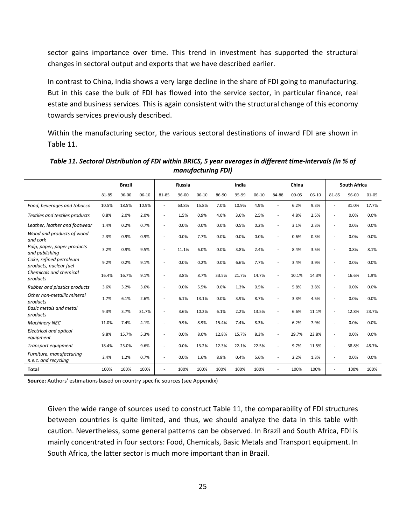sector gains importance over time. This trend in investment has supported the structural changes in sectoral output and exports that we have described earlier.

In contrast to China, India shows a very large decline in the share of FDI going to manufacturing. But in this case the bulk of FDI has flowed into the service sector, in particular finance, real estate and business services. This is again consistent with the structural change of this economy towards services previously described.

Within the manufacturing sector, the various sectoral destinations of inward FDI are shown in Table 11.

|                                                   |       | <b>Brazil</b> |         |                | <b>Russia</b> |           |       | India |         |       | China     |           |       | <b>South Africa</b> |           |
|---------------------------------------------------|-------|---------------|---------|----------------|---------------|-----------|-------|-------|---------|-------|-----------|-----------|-------|---------------------|-----------|
|                                                   | 81-85 | 96-00         | $06-10$ | 81-85          | 96-00         | $06 - 10$ | 86-90 | 95-99 | $06-10$ | 84-88 | $00 - 05$ | $06 - 10$ | 81-85 | 96-00               | $01 - 05$ |
| Food, beverages and tobacco                       | 10.5% | 18.5%         | 10.9%   | ÷              | 63.8%         | 15.8%     | 7.0%  | 10.9% | 4.9%    |       | 6.2%      | 9.3%      |       | 31.0%               | 17.7%     |
| Textiles and textiles products                    | 0.8%  | 2.0%          | 2.0%    | ÷              | 1.5%          | 0.9%      | 4.0%  | 3.6%  | 2.5%    |       | 4.8%      | 2.5%      |       | 0.0%                | 0.0%      |
| Leather, leather and footwear                     | 1.4%  | 0.2%          | 0.7%    | $\overline{a}$ | 0.0%          | 0.0%      | 0.0%  | 0.5%  | 0.2%    | ۰     | 3.1%      | 2.3%      |       | 0.0%                | 0.0%      |
| Wood and products of wood<br>and cork             | 2.3%  | 0.9%          | 0.9%    | $\overline{a}$ | 0.0%          | 7.7%      | 0.0%  | 0.0%  | 0.0%    |       | 0.6%      | 0.3%      |       | 0.0%                | 0.0%      |
| Pulp, paper, paper products<br>and publishing     | 3.2%  | 0.9%          | 9.5%    |                | 11.1%         | 6.0%      | 0.0%  | 3.8%  | 2.4%    |       | 8.4%      | 3.5%      |       | 0.8%                | 8.1%      |
| Coke, refined petroleum<br>products, nuclear fuel | 9.2%  | 0.2%          | 9.1%    | $\overline{a}$ | 0.0%          | 0.2%      | 0.0%  | 6.6%  | 7.7%    |       | 3.4%      | 3.9%      |       | 0.0%                | 0.0%      |
| Chemicals and chemical<br>products                | 16.4% | 16.7%         | 9.1%    |                | 3.8%          | 8.7%      | 33.5% | 21.7% | 14.7%   |       | 10.1%     | 14.3%     |       | 16.6%               | 1.9%      |
| Rubber and plastics products                      | 3.6%  | 3.2%          | 3.6%    |                | 0.0%          | 5.5%      | 0.0%  | 1.3%  | 0.5%    |       | 5.8%      | 3.8%      |       | 0.0%                | 0.0%      |
| Other non-metallic mineral<br>products            | 1.7%  | 6.1%          | 2.6%    |                | 6.1%          | 13.1%     | 0.0%  | 3.9%  | 8.7%    |       | 3.3%      | 4.5%      |       | 0.0%                | 0.0%      |
| <b>Basic metals and metal</b><br>products         | 9.3%  | 3.7%          | 31.7%   | Ē,             | 3.6%          | 10.2%     | 6.1%  | 2.2%  | 13.5%   |       | 6.6%      | 11.1%     |       | 12.8%               | 23.7%     |
| <b>Machinery NEC</b>                              | 11.0% | 7.4%          | 4.1%    | Ē,             | 9.9%          | 8.9%      | 15.4% | 7.4%  | 8.3%    |       | 6.2%      | 7.9%      |       | 0.0%                | 0.0%      |
| <b>Electrical and optical</b><br>equipment        | 9.8%  | 15.7%         | 5.3%    | ÷              | 0.0%          | 8.0%      | 12.8% | 15.7% | 8.3%    |       | 29.7%     | 23.8%     |       | 0.0%                | 0.0%      |
| Transport equipment                               | 18.4% | 23.0%         | 9.6%    |                | 0.0%          | 13.2%     | 12.3% | 22.1% | 22.5%   |       | 9.7%      | 11.5%     |       | 38.8%               | 48.7%     |
| Furniture, manufacturing<br>n.e.c. and recycling  | 2.4%  | 1.2%          | 0.7%    |                | 0.0%          | 1.6%      | 8.8%  | 0.4%  | 5.6%    |       | 2.2%      | 1.3%      |       | 0.0%                | 0.0%      |
| <b>Total</b>                                      | 100%  | 100%          | 100%    |                | 100%          | 100%      | 100%  | 100%  | 100%    |       | 100%      | 100%      |       | 100%                | 100%      |

*Table 11. Sectoral Distribution of FDI within BRICS, 5 year averages in different time-intervals (in % of manufacturing FDI)*

**Source:** Authors' estimations based on country specific sources (see Appendix)

Given the wide range of sources used to construct Table 11, the comparability of FDI structures between countries is quite limited, and thus, we should analyze the data in this table with caution. Nevertheless, some general patterns can be observed. In Brazil and South Africa, FDI is mainly concentrated in four sectors: Food, Chemicals, Basic Metals and Transport equipment. In South Africa, the latter sector is much more important than in Brazil.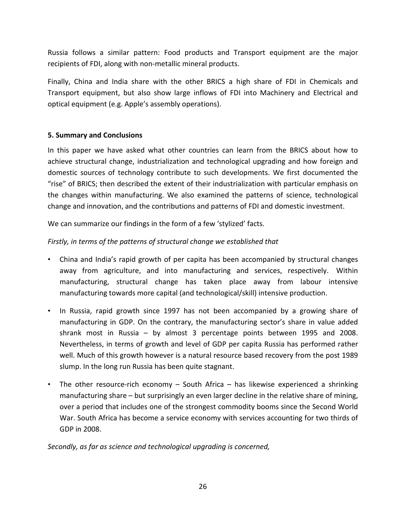Russia follows a similar pattern: Food products and Transport equipment are the major recipients of FDI, along with non-metallic mineral products.

Finally, China and India share with the other BRICS a high share of FDI in Chemicals and Transport equipment, but also show large inflows of FDI into Machinery and Electrical and optical equipment (e.g. Apple's assembly operations).

# **5. Summary and Conclusions**

In this paper we have asked what other countries can learn from the BRICS about how to achieve structural change, industrialization and technological upgrading and how foreign and domestic sources of technology contribute to such developments. We first documented the "rise" of BRICS; then described the extent of their industrialization with particular emphasis on the changes within manufacturing. We also examined the patterns of science, technological change and innovation, and the contributions and patterns of FDI and domestic investment.

We can summarize our findings in the form of a few 'stylized' facts.

# *Firstly, in terms of the patterns of structural change we established that*

- China and India's rapid growth of per capita has been accompanied by structural changes away from agriculture, and into manufacturing and services, respectively. Within manufacturing, structural change has taken place away from labour intensive manufacturing towards more capital (and technological/skill) intensive production.
- In Russia, rapid growth since 1997 has not been accompanied by a growing share of manufacturing in GDP. On the contrary, the manufacturing sector's share in value added shrank most in Russia – by almost 3 percentage points between 1995 and 2008. Nevertheless, in terms of growth and level of GDP per capita Russia has performed rather well. Much of this growth however is a natural resource based recovery from the post 1989 slump. In the long run Russia has been quite stagnant.
- The other resource-rich economy South Africa has likewise experienced a shrinking manufacturing share – but surprisingly an even larger decline in the relative share of mining, over a period that includes one of the strongest commodity booms since the Second World War. South Africa has become a service economy with services accounting for two thirds of GDP in 2008.

# *Secondly, as far as science and technological upgrading is concerned,*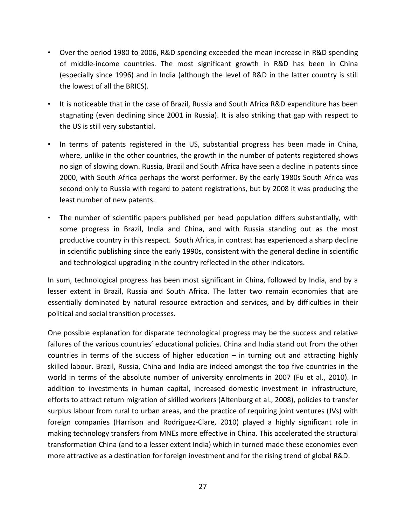- Over the period 1980 to 2006, R&D spending exceeded the mean increase in R&D spending of middle-income countries. The most significant growth in R&D has been in China (especially since 1996) and in India (although the level of R&D in the latter country is still the lowest of all the BRICS).
- It is noticeable that in the case of Brazil, Russia and South Africa R&D expenditure has been stagnating (even declining since 2001 in Russia). It is also striking that gap with respect to the US is still very substantial.
- In terms of patents registered in the US, substantial progress has been made in China, where, unlike in the other countries, the growth in the number of patents registered shows no sign of slowing down. Russia, Brazil and South Africa have seen a decline in patents since 2000, with South Africa perhaps the worst performer. By the early 1980s South Africa was second only to Russia with regard to patent registrations, but by 2008 it was producing the least number of new patents.
- The number of scientific papers published per head population differs substantially, with some progress in Brazil, India and China, and with Russia standing out as the most productive country in this respect. South Africa, in contrast has experienced a sharp decline in scientific publishing since the early 1990s, consistent with the general decline in scientific and technological upgrading in the country reflected in the other indicators.

In sum, technological progress has been most significant in China, followed by India, and by a lesser extent in Brazil, Russia and South Africa. The latter two remain economies that are essentially dominated by natural resource extraction and services, and by difficulties in their political and social transition processes.

One possible explanation for disparate technological progress may be the success and relative failures of the various countries' educational policies. China and India stand out from the other countries in terms of the success of higher education – in turning out and attracting highly skilled labour. Brazil, Russia, China and India are indeed amongst the top five countries in the world in terms of the absolute number of university enrolments in 2007 (Fu et al., 2010). In addition to investments in human capital, increased domestic investment in infrastructure, efforts to attract return migration of skilled workers (Altenburg et al., 2008), policies to transfer surplus labour from rural to urban areas, and the practice of requiring joint ventures (JVs) with foreign companies (Harrison and Rodriguez-Clare, 2010) played a highly significant role in making technology transfers from MNEs more effective in China. This accelerated the structural transformation China (and to a lesser extent India) which in turned made these economies even more attractive as a destination for foreign investment and for the rising trend of global R&D.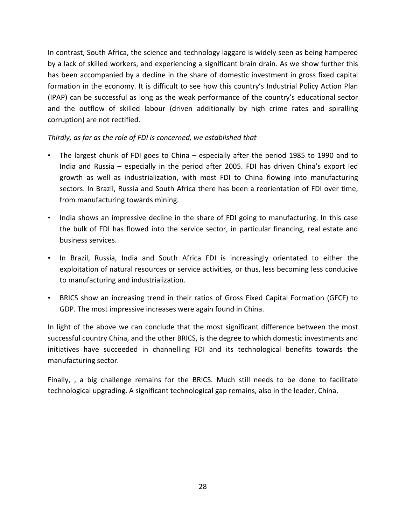In contrast, South Africa, the science and technology laggard is widely seen as being hampered by a lack of skilled workers, and experiencing a significant brain drain. As we show further this has been accompanied by a decline in the share of domestic investment in gross fixed capital formation in the economy. It is difficult to see how this country's Industrial Policy Action Plan (IPAP) can be successful as long as the weak performance of the country's educational sector and the outflow of skilled labour (driven additionally by high crime rates and spiralling corruption) are not rectified.

*Thirdly, as far as the role of FDI is concerned, we established that*

- The largest chunk of FDI goes to China especially after the period 1985 to 1990 and to India and Russia – especially in the period after 2005. FDI has driven China's export led growth as well as industrialization, with most FDI to China flowing into manufacturing sectors. In Brazil, Russia and South Africa there has been a reorientation of FDI over time, from manufacturing towards mining.
- India shows an impressive decline in the share of FDI going to manufacturing. In this case the bulk of FDI has flowed into the service sector, in particular financing, real estate and business services.
- In Brazil, Russia, India and South Africa FDI is increasingly orientated to either the exploitation of natural resources or service activities, or thus, less becoming less conducive to manufacturing and industrialization.
- BRICS show an increasing trend in their ratios of Gross Fixed Capital Formation (GFCF) to GDP. The most impressive increases were again found in China.

In light of the above we can conclude that the most significant difference between the most successful country China, and the other BRICS, is the degree to which domestic investments and initiatives have succeeded in channelling FDI and its technological benefits towards the manufacturing sector*.* 

Finally, , a big challenge remains for the BRICS. Much still needs to be done to facilitate technological upgrading. A significant technological gap remains, also in the leader, China.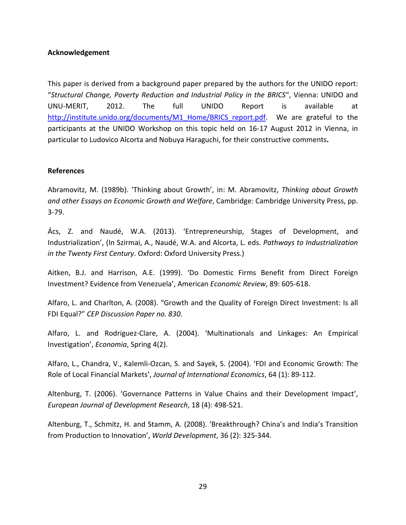# **Acknowledgement**

This paper is derived from a background paper prepared by the authors for the UNIDO report: "*Structural Change, Poverty Reduction and Industrial Policy in the BRICS*", Vienna: UNIDO and UNU-MERIT, 2012. The full UNIDO Report is available at [http://institute.unido.org/documents/M1\\_Home/BRICS\\_report.pdf.](http://institute.unido.org/documents/M1_Home/BRICS_report.pdf) We are grateful to the participants at the UNIDO Workshop on this topic held on 16-17 August 2012 in Vienna, in particular to Ludovico Alcorta and Nobuya Haraguchi, for their constructive comments**.**

# **References**

Abramovitz, M. (1989b). 'Thinking about Growth', in: M. Abramovitz, *Thinking about Growth and other Essays on Economic Growth and Welfare*, Cambridge: Cambridge University Press, pp. 3-79.

Ács, Z. and Naudé, W.A. (2013). 'Entrepreneurship, Stages of Development, and Industrialization', (In Szirmai, A., Naudé, W.A. and Alcorta, L. eds. *Pathways to Industrialization in the Twenty First Century*. Oxford: Oxford University Press.)

Aitken, B.J. and Harrison, A.E. (1999). 'Do Domestic Firms Benefit from Direct Foreign Investment? Evidence from Venezuela', American *Economic Review*, 89: 605-618.

Alfaro, L. and Charlton, A. (2008). "Growth and the Quality of Foreign Direct Investment: Is all FDI Equal?" *CEP Discussion Paper no. 830*.

Alfaro, L. and Rodriguez-Clare, A. (2004). 'Multinationals and Linkages: An Empirical Investigation', *Economia*, Spring 4(2).

Alfaro, L., Chandra, V., Kalemli-Ozcan, S. and Sayek, S. (2004). 'FDI and Economic Growth: The Role of Local Financial Markets', *Journal of International Economics*, 64 (1): 89-112.

Altenburg, T. (2006). 'Governance Patterns in Value Chains and their Development Impact', *European Journal of Development Research*, 18 (4): 498-521.

Altenburg, T., Schmitz, H. and Stamm, A. (2008). 'Breakthrough? China's and India's Transition from Production to Innovation', *World Development*, 36 (2): 325-344.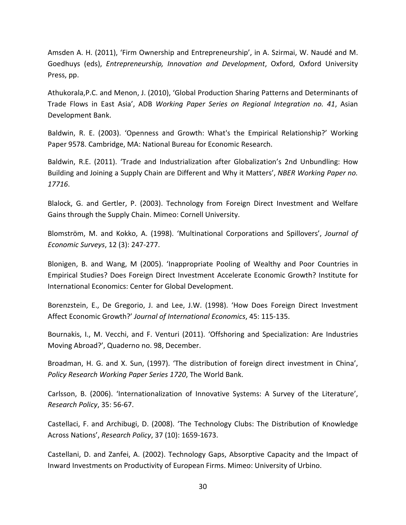Amsden A. H. (2011), 'Firm Ownership and Entrepreneurship', in A. Szirmai, W. Naudé and M. Goedhuys (eds), *Entrepreneurship, Innovation and Development*, Oxford, Oxford University Press, pp.

Athukorala,P.C. and Menon, J. (2010), 'Global Production Sharing Patterns and Determinants of Trade Flows in East Asia', ADB *Working Paper Series on Regional Integration no. 41*, Asian Development Bank.

Baldwin, R. E. (2003). 'Openness and Growth: What's the Empirical Relationship?' Working Paper 9578. Cambridge, MA: National Bureau for Economic Research.

Baldwin, R.E. (2011). 'Trade and Industrialization after Globalization's 2nd Unbundling: How Building and Joining a Supply Chain are Different and Why it Matters', *NBER Working Paper no. 17716*.

Blalock, G. and Gertler, P. (2003). Technology from Foreign Direct Investment and Welfare Gains through the Supply Chain. Mimeo: Cornell University.

Blomström, M. and Kokko, A. (1998). 'Multinational Corporations and Spillovers', *Journal of Economic Surveys*, 12 (3): 247-277.

Blonigen, B. and Wang, M (2005). 'Inappropriate Pooling of Wealthy and Poor Countries in Empirical Studies? Does Foreign Direct Investment Accelerate Economic Growth? Institute for International Economics: Center for Global Development.

Borenzstein, E., De Gregorio, J. and Lee, J.W. (1998). 'How Does Foreign Direct Investment Affect Economic Growth?' *Journal of International Economics*, 45: 115-135.

Bournakis, I., M. Vecchi, and F. Venturi (2011). 'Offshoring and Specialization: Are Industries Moving Abroad?', Quaderno no. 98, December.

Broadman, H. G. and X. Sun, (1997). 'The distribution of foreign direct investment in China', *Policy Research Working Paper Series 1720*, The World Bank.

Carlsson, B. (2006). 'Internationalization of Innovative Systems: A Survey of the Literature', *Research Policy*, 35: 56-67.

Castellaci, F. and Archibugi, D. (2008). 'The Technology Clubs: The Distribution of Knowledge Across Nations', *Research Policy*, 37 (10): 1659-1673.

Castellani, D. and Zanfei, A. (2002). Technology Gaps, Absorptive Capacity and the Impact of Inward Investments on Productivity of European Firms. Mimeo: University of Urbino.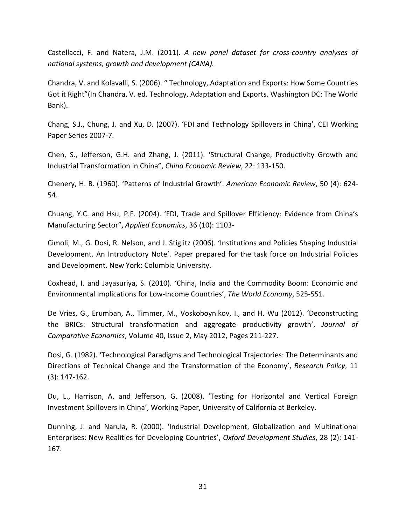Castellacci, F. and Natera, J.M. (2011). *A new panel dataset for cross-country analyses of national systems, growth and development (CANA).*

Chandra, V. and Kolavalli, S. (2006). " Technology, Adaptation and Exports: How Some Countries Got it Right"(In Chandra, V. ed. Technology, Adaptation and Exports. Washington DC: The World Bank).

Chang, S.J., Chung, J. and Xu, D. (2007). 'FDI and Technology Spillovers in China', CEI Working Paper Series 2007-7.

Chen, S., Jefferson, G.H. and Zhang, J. (2011). 'Structural Change, Productivity Growth and Industrial Transformation in China", *China Economic Review*, 22: 133-150.

Chenery, H. B. (1960). 'Patterns of Industrial Growth'. *American Economic Review*, 50 (4): 624- 54.

Chuang, Y.C. and Hsu, P.F. (2004). 'FDI, Trade and Spillover Efficiency: Evidence from China's Manufacturing Sector", *Applied Economics*, 36 (10): 1103-

Cimoli, M., G. Dosi, R. Nelson, and J. Stiglitz (2006). 'Institutions and Policies Shaping Industrial Development. An Introductory Note'. Paper prepared for the task force on Industrial Policies and Development. New York: Columbia University.

Coxhead, I. and Jayasuriya, S. (2010). 'China, India and the Commodity Boom: Economic and Environmental Implications for Low-Income Countries', *The World Economy*, 525-551.

De Vries, G., Erumban, A., Timmer, M., Voskoboynikov, I., and H. Wu (2012). 'Deconstructing the BRICs: Structural transformation and aggregate productivity growth', *Journal of Comparative Economics*, Volume 40, Issue 2, May 2012, Pages 211-227.

Dosi, G. (1982). 'Technological Paradigms and Technological Trajectories: The Determinants and Directions of Technical Change and the Transformation of the Economy', *Research Policy*, 11 (3): 147-162.

Du, L., Harrison, A. and Jefferson, G. (2008). 'Testing for Horizontal and Vertical Foreign Investment Spillovers in China', Working Paper, University of California at Berkeley.

Dunning, J. and Narula, R. (2000). 'Industrial Development, Globalization and Multinational Enterprises: New Realities for Developing Countries', *Oxford Development Studies*, 28 (2): 141- 167.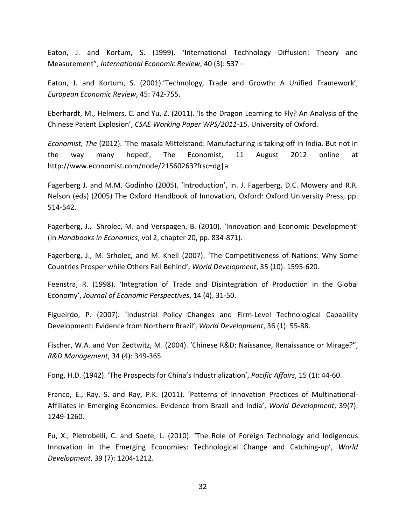Eaton, J. and Kortum, S. (1999). 'International Technology Diffusion: Theory and Measurement", *International Economic Review*, 40 (3): 537 –

Eaton, J. and Kortum, S. (2001).'Technology, Trade and Growth: A Unified Framework', *European Economic Review*, 45: 742-755.

Eberhardt, M., Helmers, C. and Yu, Z. (2011). 'Is the Dragon Learning to Fly? An Analysis of the Chinese Patent Explosion', *CSAE Working Paper WPS/2011-15*. University of Oxford.

*Economist, The* (2012). 'The masala Mittelstand: Manufacturing is taking off in India. But not in the way many hoped', The Economist, 11 August 2012 online at <http://www.economist.com/node/21560263?frsc=dg|a>

Fagerberg J. and M.M. Godinho (2005). 'Introduction', in. J. Fagerberg, D.C. Mowery and R.R. Nelson (eds) (2005) The Oxford Handbook of Innovation, Oxford: Oxford University Press, pp. 514-542.

Fagerberg, J., Shrolec, M. and Verspagen, B. (2010). 'Innovation and Economic Development' (In *Handbooks in Economics*, vol 2, chapter 20, pp. 834-871).

Fagerberg, J., M. Srholec, and M. Knell (2007). 'The Competitiveness of Nations: Why Some Countries Prosper while Others Fall Behind', *World Development*, 35 (10): 1595-620.

Feenstra, R. (1998). 'Integration of Trade and Disintegration of Production in the Global Economy', *Journal of Economic Perspectives*, 14 (4). 31-50.

Figueirdo, P. (2007). 'Industrial Policy Changes and Firm-Level Technological Capability Development: Evidence from Northern Brazil', *World Development*, 36 (1): 55-88.

Fischer, W.A. and Von Zedtwitz, M. (2004). 'Chinese R&D: Naissance, Renaissance or Mirage?", *R&D Management*, 34 (4): 349-365.

Fong, H.D. (1942). 'The Prospects for China's Industrialization', *Pacific Affairs*, 15 (1): 44-60.

Franco, E., Ray, S. and Ray, P.K. (2011). 'Patterns of Innovation Practices of Multinational-Affiliates in Emerging Economies: Evidence from Brazil and India', *World Development*, 39(7): 1249-1260.

Fu, X., Pietrobelli, C. and Soete, L. (2010). 'The Role of Foreign Technology and Indigenous Innovation in the Emerging Economies: Technological Change and Catching-up', *World Development*, 39 (7): 1204-1212.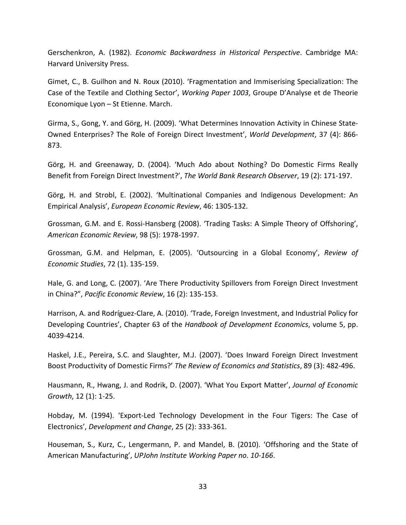Gerschenkron, A. (1982). *Economic Backwardness in Historical Perspective*. Cambridge MA: Harvard University Press.

Gimet, C., B. Guilhon and N. Roux (2010). 'Fragmentation and Immiserising Specialization: The Case of the Textile and Clothing Sector', *Working Paper 1003*, Groupe D'Analyse et de Theorie Economique Lyon – St Etienne. March.

Girma, S., Gong, Y. and Görg, H. (2009). 'What Determines Innovation Activity in Chinese State-Owned Enterprises? The Role of Foreign Direct Investment', *World Development*, 37 (4): 866- 873.

Görg, H. and Greenaway, D. (2004). 'Much Ado about Nothing? Do Domestic Firms Really Benefit from Foreign Direct Investment?', *The World Bank Research Observer*, 19 (2): 171-197.

Görg, H. and Strobl, E. (2002). 'Multinational Companies and Indigenous Development: An Empirical Analysis', *European Economic Review*, 46: 1305-132.

Grossman, G.M. and E. Rossi-Hansberg (2008). 'Trading Tasks: A Simple Theory of Offshoring', *American Economic Review*, 98 (5): 1978-1997.

Grossman, G.M. and Helpman, E. (2005). 'Outsourcing in a Global Economy', *Review of Economic Studies*, 72 (1). 135-159.

Hale, G. and Long, C. (2007). 'Are There Productivity Spillovers from Foreign Direct Investment in China?", *Pacific Economic Review*, 16 (2): 135-153.

Harrison, A. and Rodríguez-Clare, A. (2010). 'Trade, Foreign Investment, and Industrial Policy for Developing Countries', Chapter 63 of the *Handbook of Development Economics*, volume 5, pp. 4039-4214.

Haskel, J.E., Pereira, S.C. and Slaughter, M.J. (2007). 'Does Inward Foreign Direct Investment Boost Productivity of Domestic Firms?' *The Review of Economics and Statistics*, 89 (3): 482-496.

Hausmann, R., Hwang, J. and Rodrik, D. (2007). 'What You Export Matter', *Journal of Economic Growth*, 12 (1): 1-25.

Hobday, M. (1994). 'Export-Led Technology Development in the Four Tigers: The Case of Electronics', *Development and Change*, 25 (2): 333-361.

Houseman, S., Kurz, C., Lengermann, P. and Mandel, B. (2010). 'Offshoring and the State of American Manufacturing', *UPJohn Institute Working Paper no. 10-166*.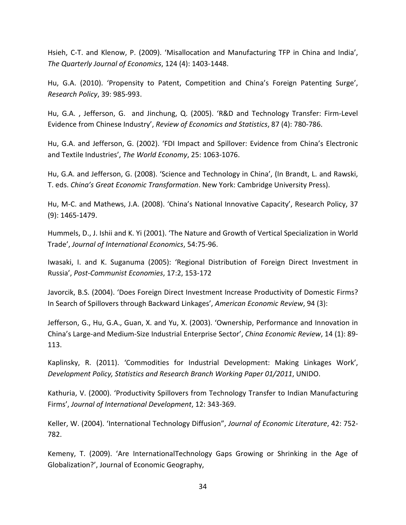Hsieh, C-T. and Klenow, P. (2009). 'Misallocation and Manufacturing TFP in China and India', *The Quarterly Journal of Economics*, 124 (4): 1403-1448.

Hu, G.A. (2010). 'Propensity to Patent, Competition and China's Foreign Patenting Surge', *Research Policy*, 39: 985-993.

Hu, G.A. , Jefferson, G. and Jinchung, Q. (2005). 'R&D and Technology Transfer: Firm-Level Evidence from Chinese Industry', *Review of Economics and Statistics*, 87 (4): 780-786.

Hu, G.A. and Jefferson, G. (2002). 'FDI Impact and Spillover: Evidence from China's Electronic and Textile Industries', *The World Economy*, 25: 1063-1076.

Hu, G.A. and Jefferson, G. (2008). 'Science and Technology in China', (In Brandt, L. and Rawski, T. eds. *China's Great Economic Transformation*. New York: Cambridge University Press).

Hu, M-C. and Mathews, J.A. (2008). 'China's National Innovative Capacity', Research Policy, 37 (9): 1465-1479.

Hummels, D., J. Ishii and K. Yi (2001). 'The Nature and Growth of Vertical Specialization in World Trade', *Journal of International Economics*, 54:75-96.

Iwasaki, I. and K. Suganuma (2005): 'Regional Distribution of Foreign Direct Investment in Russia', *Post-Communist Economies*, 17:2, 153-172

Javorcik, B.S. (2004). 'Does Foreign Direct Investment Increase Productivity of Domestic Firms? In Search of Spillovers through Backward Linkages', *American Economic Review*, 94 (3):

Jefferson, G., Hu, G.A., Guan, X. and Yu, X. (2003). 'Ownership, Performance and Innovation in China's Large-and Medium-Size Industrial Enterprise Sector', *China Economic Review*, 14 (1): 89- 113.

Kaplinsky, R. (2011). 'Commodities for Industrial Development: Making Linkages Work', *Development Policy, Statistics and Research Branch Working Paper 01/2011*, UNIDO.

Kathuria, V. (2000). 'Productivity Spillovers from Technology Transfer to Indian Manufacturing Firms', *Journal of International Development*, 12: 343-369.

Keller, W. (2004). 'International Technology Diffusion", *Journal of Economic Literature*, 42: 752- 782.

Kemeny, T. (2009). 'Are InternationalTechnology Gaps Growing or Shrinking in the Age of Globalization?', Journal of Economic Geography,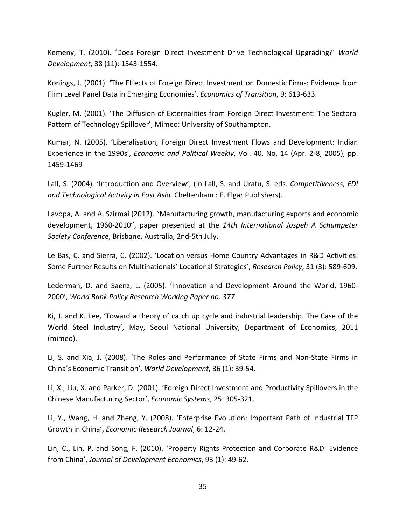Kemeny, T. (2010). 'Does Foreign Direct Investment Drive Technological Upgrading?' *World Development*, 38 (11): 1543-1554.

Konings, J. (2001). 'The Effects of Foreign Direct Investment on Domestic Firms: Evidence from Firm Level Panel Data in Emerging Economies', *Economics of Transition*, 9: 619-633.

Kugler, M. (2001). 'The Diffusion of Externalities from Foreign Direct Investment: The Sectoral Pattern of Technology Spillover', Mimeo: University of Southampton.

Kumar, N. (2005). 'Liberalisation, Foreign Direct Investment Flows and Development: Indian Experience in the 1990s', *Economic and Political Weekly*, Vol. 40, No. 14 (Apr. 2-8, 2005), pp. 1459-1469

Lall, S. (2004). 'Introduction and Overview', (In Lall, S. and Uratu, S. eds. *Competitiveness, FDI and Technological Activity in East Asia.* Cheltenham : E. Elgar Publishers).

Lavopa, A. and A. Szirmai (2012). "Manufacturing growth, manufacturing exports and economic development, 1960-2010", paper presented at the *14th International Jospeh A Schumpeter Society Conference*, Brisbane, Australia, 2nd-5th July.

Le Bas, C. and Sierra, C. (2002). 'Location versus Home Country Advantages in R&D Activities: Some Further Results on Multinationals' Locational Strategies', *Research Policy*, 31 (3): 589-609.

Lederman, D. and Saenz, L. (2005). 'Innovation and Development Around the World, 1960- 2000', *World Bank Policy Research Working Paper no. 377*

Ki, J. and K. Lee, 'Toward a theory of catch up cycle and industrial leadership. The Case of the World Steel Industry', May, Seoul National University, Department of Economics, 2011 (mimeo).

Li, S. and Xia, J. (2008). 'The Roles and Performance of State Firms and Non-State Firms in China's Economic Transition', *World Development*, 36 (1): 39-54.

Li, X., Liu, X. and Parker, D. (2001). 'Foreign Direct Investment and Productivity Spillovers in the Chinese Manufacturing Sector', *Economic Systems*, 25: 305-321.

Li, Y., Wang, H. and Zheng, Y. (2008). 'Enterprise Evolution: Important Path of Industrial TFP Growth in China', *Economic Research Journal*, 6: 12-24.

Lin, C., Lin, P. and Song, F. (2010). 'Property Rights Protection and Corporate R&D: Evidence from China', *Journal of Development Economics*, 93 (1): 49-62.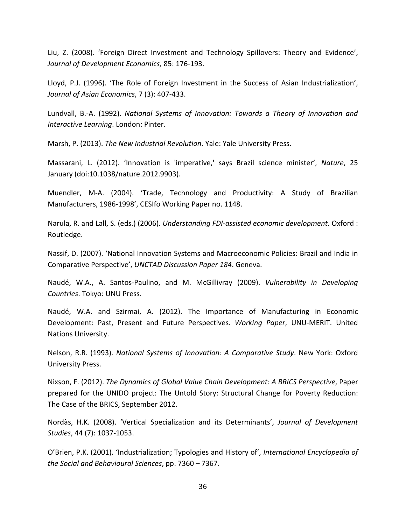Liu, Z. (2008). 'Foreign Direct Investment and Technology Spillovers: Theory and Evidence', *Journal of Development Economics,* 85: 176-193.

Lloyd, P.J. (1996). 'The Role of Foreign Investment in the Success of Asian Industrialization', *Journal of Asian Economics*, 7 (3): 407-433.

Lundvall, B.-A. (1992). *National Systems of Innovation: Towards a Theory of Innovation and Interactive Learning*. London: Pinter.

Marsh, P. (2013). *The New Industrial Revolution*. Yale: Yale University Press.

Massarani, L. (2012). 'Innovation is 'imperative,' says Brazil science minister', *Nature*, 25 January (doi:10.1038/nature.2012.9903).

Muendler, M-A. (2004). 'Trade, Technology and Productivity: A Study of Brazilian Manufacturers, 1986-1998', CESIfo Working Paper no. 1148.

Narula, R. and Lall, S. (eds.) (2006). *Understanding FDI-assisted economic development*. Oxford : Routledge.

Nassif, D. (2007). 'National Innovation Systems and Macroeconomic Policies: Brazil and India in Comparative Perspective', *UNCTAD Discussion Paper 184*. Geneva.

Naudé, W.A., A. Santos-Paulino, and M. McGillivray (2009). *Vulnerability in Developing Countries*. Tokyo: UNU Press.

Naudé, W.A. and Szirmai, A. (2012). The Importance of Manufacturing in Economic Development: Past, Present and Future Perspectives. *Working Paper*, UNU-MERIT. United Nations University.

Nelson, R.R. (1993). *National Systems of Innovation: A Comparative Study*. New York: Oxford University Press.

Nixson, F. (2012). *The Dynamics of Global Value Chain Development: A BRICS Perspective*, Paper prepared for the UNIDO project: The Untold Story: Structural Change for Poverty Reduction: The Case of the BRICS, September 2012.

Nordàs, H.K. (2008). 'Vertical Specialization and its Determinants', *Journal of Development Studies*, 44 (7): 1037-1053.

O'Brien, P.K. (2001). 'Industrialization; Typologies and History of', *International Encyclopedia of the Social and Behavioural Sciences*, pp. 7360 – 7367.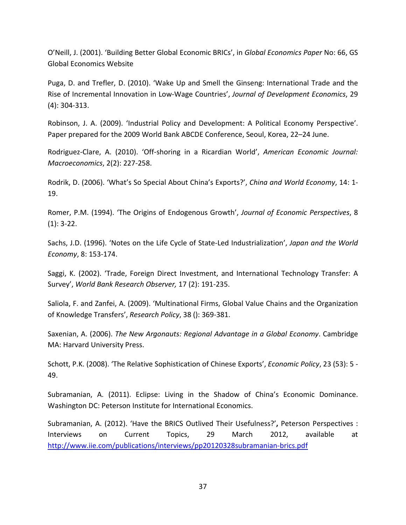O'Neill, J. (2001). 'Building Better Global Economic BRICs', in *Global Economics Paper* No: 66, GS Global Economics Website

Puga, D. and Trefler, D. (2010). 'Wake Up and Smell the Ginseng: International Trade and the Rise of Incremental Innovation in Low-Wage Countries', *Journal of Development Economics*, 29 (4): 304-313.

Robinson, J. A. (2009). 'Industrial Policy and Development: A Political Economy Perspective'. Paper prepared for the 2009 World Bank ABCDE Conference, Seoul, Korea, 22–24 June.

Rodriguez-Clare, A. (2010). 'Off-shoring in a Ricardian World', *American Economic Journal: Macroeconomics*, 2(2): 227-258.

Rodrik, D. (2006). 'What's So Special About China's Exports?', *China and World Economy*, 14: 1- 19.

Romer, P.M. (1994). 'The Origins of Endogenous Growth', *Journal of Economic Perspectives*, 8 (1): 3-22.

Sachs, J.D. (1996). 'Notes on the Life Cycle of State-Led Industrialization', *Japan and the World Economy*, 8: 153-174.

Saggi, K. (2002). 'Trade, Foreign Direct Investment, and International Technology Transfer: A Survey', *World Bank Research Observer,* 17 (2): 191-235.

Saliola, F. and Zanfei, A. (2009). 'Multinational Firms, Global Value Chains and the Organization of Knowledge Transfers', *Research Policy*, 38 (): 369-381.

Saxenian, A. (2006). *The New Argonauts: Regional Advantage in a Global Economy*. Cambridge MA: Harvard University Press.

Schott, P.K. (2008). 'The Relative Sophistication of Chinese Exports', *Economic Policy*, 23 (53): 5 - 49.

Subramanian, A. (2011). Eclipse: Living in the Shadow of China's Economic Dominance. Washington DC: Peterson Institute for International Economics.

Subramanian, A. (2012). 'Have the BRICS Outlived Their Usefulness?'**,** Peterson Perspectives : Interviews on Current Topics, 29 March 2012, available at <http://www.iie.com/publications/interviews/pp20120328subramanian-brics.pdf>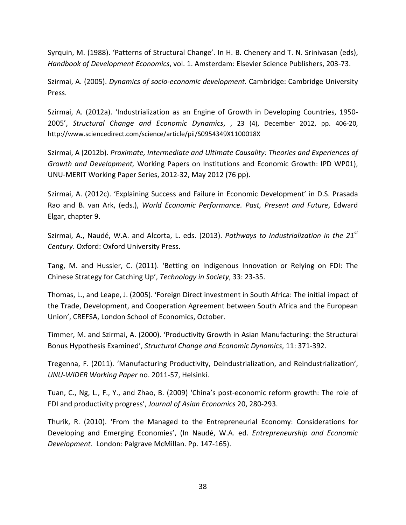Syrquin, M. (1988). 'Patterns of Structural Change'. In H. B. Chenery and T. N. Srinivasan (eds), *Handbook of Development Economics*, vol. 1. Amsterdam: Elsevier Science Publishers, 203-73.

Szirmai, A. (2005). *Dynamics of socio-economic development.* Cambridge: Cambridge University Press.

Szirmai, A. (2012a). 'Industrialization as an Engine of Growth in Developing Countries, 1950- 2005', *Structural Change and Economic Dynamics*, , 23 (4), December 2012, pp. 406-20, http://www.sciencedirect.com/science/article/pii/S0954349X1100018X

Szirmai, A (2012b). *Proximate, Intermediate and Ultimate Causality: Theories and Experiences of Growth and Development,* Working Papers on Institutions and Economic Growth: IPD WP01), UNU-MERIT Working Paper Series, 2012-32, May 2012 (76 pp).

Szirmai, A. (2012c). 'Explaining Success and Failure in Economic Development' in D.S. Prasada Rao and B. van Ark, (eds.), *World Economic Performance. Past, Present and Future*, Edward Elgar, chapter 9.

Szirmai, A., Naudé, W.A. and Alcorta, L. eds. (2013). *Pathways to Industrialization in the 21st Century*. Oxford: Oxford University Press.

Tang, M. and Hussler, C. (2011). 'Betting on Indigenous Innovation or Relying on FDI: The Chinese Strategy for Catching Up', *Technology in Society*, 33: 23-35.

Thomas, L., and Leape, J. (2005). 'Foreign Direct investment in South Africa: The initial impact of the Trade, Development, and Cooperation Agreement between South Africa and the European Union', CREFSA, London School of Economics, October.

Timmer, M. and Szirmai, A. (2000). 'Productivity Growth in Asian Manufacturing: the Structural Bonus Hypothesis Examined', *Structural Change and Economic Dynamics*, 11: 371-392.

Tregenna, F. (2011). 'Manufacturing Productivity, Deindustrialization, and Reindustrialization', *UNU-WIDER Working Paper* no. 2011-57, Helsinki.

Tuan, C., Ng, L., F., Y., and Zhao, B. (2009) 'China's post-economic reform growth: The role of FDI and productivity progress', *Journal of Asian Economics* 20, 280-293.

Thurik, R. (2010). 'From the Managed to the Entrepreneurial Economy: Considerations for Developing and Emerging Economies', (In Naudé, W.A. ed. *Entrepreneurship and Economic Development.* London: Palgrave McMillan. Pp. 147-165).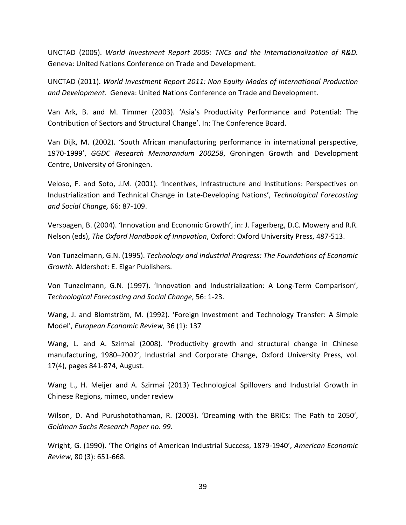UNCTAD (2005). *World Investment Report 2005: TNCs and the Internationalization of R&D.*  Geneva: United Nations Conference on Trade and Development.

UNCTAD (2011). *World Investment Report 2011: Non Equity Modes of International Production and Development*. Geneva: United Nations Conference on Trade and Development.

Van Ark, B. and M. Timmer (2003). 'Asia's Productivity Performance and Potential: The Contribution of Sectors and Structural Change'. In: The Conference Board.

Van Dijk, M. (2002). 'South African manufacturing performance in international perspective, 1970-1999', *GGDC Research Memorandum 200258*, Groningen Growth and Development Centre, University of Groningen.

Veloso, F. and Soto, J.M. (2001). 'Incentives, Infrastructure and Institutions: Perspectives on Industrialization and Technical Change in Late-Developing Nations', *Technological Forecasting and Social Change,* 66: 87-109.

Verspagen, B. (2004). 'Innovation and Economic Growth', in: J. Fagerberg, D.C. Mowery and R.R. Nelson (eds), *The Oxford Handbook of Innovation*, Oxford: Oxford University Press, 487-513.

Von Tunzelmann, G.N. (1995). *Technology and Industrial Progress: The Foundations of Economic Growth.* Aldershot: E. Elgar Publishers.

Von Tunzelmann, G.N. (1997). 'Innovation and Industrialization: A Long-Term Comparison', *Technological Forecasting and Social Change*, 56: 1-23.

Wang, J. and Blomström, M. (1992). 'Foreign Investment and Technology Transfer: A Simple Model', *European Economic Review*, 36 (1): 137

Wang, L. and A. Szirmai (2008). 'Productivity growth and structural change in Chinese manufacturing, 1980–2002', Industrial and Corporate Change, Oxford University Press, vol. 17(4), pages 841-874, August.

Wang L., H. Meijer and A. Szirmai (2013) Technological Spillovers and Industrial Growth in Chinese Regions, mimeo, under review

Wilson, D. And Purushotothaman, R. (2003). 'Dreaming with the BRICs: The Path to 2050', *Goldman Sachs Research Paper no. 99*.

Wright, G. (1990). 'The Origins of American Industrial Success, 1879-1940', *American Economic Review*, 80 (3): 651-668.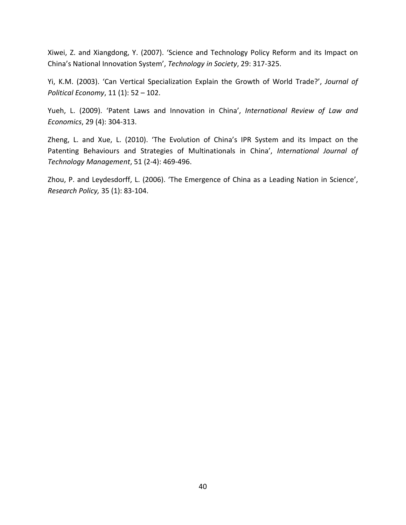Xiwei, Z. and Xiangdong, Y. (2007). 'Science and Technology Policy Reform and its Impact on China's National Innovation System', *Technology in Society*, 29: 317-325.

Yi, K.M. (2003). 'Can Vertical Specialization Explain the Growth of World Trade?', *Journal of Political Economy*, 11 (1): 52 – 102.

Yueh, L. (2009). 'Patent Laws and Innovation in China', *International Review of Law and Economics*, 29 (4): 304-313.

Zheng, L. and Xue, L. (2010). 'The Evolution of China's IPR System and its Impact on the Patenting Behaviours and Strategies of Multinationals in China', *International Journal of Technology Management*, 51 (2-4): 469-496.

Zhou, P. and Leydesdorff, L. (2006). 'The Emergence of China as a Leading Nation in Science', *Research Policy,* 35 (1): 83-104.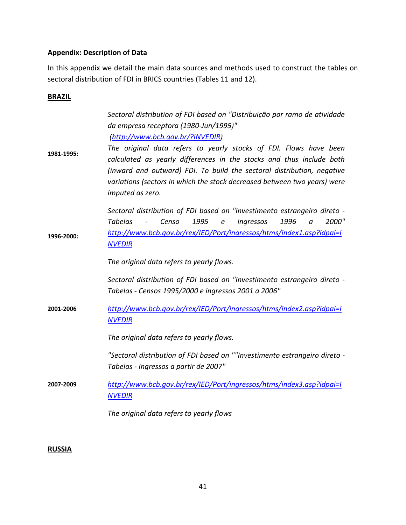# **Appendix: Description of Data**

In this appendix we detail the main data sources and methods used to construct the tables on sectoral distribution of FDI in BRICS countries (Tables 11 and 12).

# **BRAZIL**

| 1981-1995: | Sectoral distribution of FDI based on "Distribuição por ramo de atividade<br>da empresa receptora (1980-Jun/1995)"<br>(http://www.bcb.gov.br/?INVEDIR)<br>The original data refers to yearly stocks of FDI. Flows have been<br>calculated as yearly differences in the stocks and thus include both<br>(inward and outward) FDI. To build the sectoral distribution, negative<br>variations (sectors in which the stock decreased between two years) were<br>imputed as zero. |
|------------|-------------------------------------------------------------------------------------------------------------------------------------------------------------------------------------------------------------------------------------------------------------------------------------------------------------------------------------------------------------------------------------------------------------------------------------------------------------------------------|
| 1996-2000: | Sectoral distribution of FDI based on "Investimento estrangeiro direto -<br><b>Tabelas</b><br>1995<br>1996<br>2000"<br>Censo<br>ingressos<br>e<br>$\alpha$<br>http://www.bcb.gov.br/rex/IED/Port/ingressos/htms/index1.asp?idpai=I<br><b>NVEDIR</b><br>The original data refers to yearly flows.                                                                                                                                                                              |
| 2001-2006  | Sectoral distribution of FDI based on "Investimento estrangeiro direto -<br>Tabelas - Censos 1995/2000 e ingressos 2001 a 2006"<br>http://www.bcb.gov.br/rex/IED/Port/ingressos/htms/index2.asp?idpai=I<br><b>NVEDIR</b><br>The original data refers to yearly flows.                                                                                                                                                                                                         |
| 2007-2009  | "Sectoral distribution of FDI based on ""Investimento estrangeiro direto -<br>Tabelas - Ingressos a partir de 2007"<br>http://www.bcb.gov.br/rex/IED/Port/ingressos/htms/index3.asp?idpai=I<br><b>NVEDIR</b><br>The original data refers to yearly flows                                                                                                                                                                                                                      |

# **RUSSIA**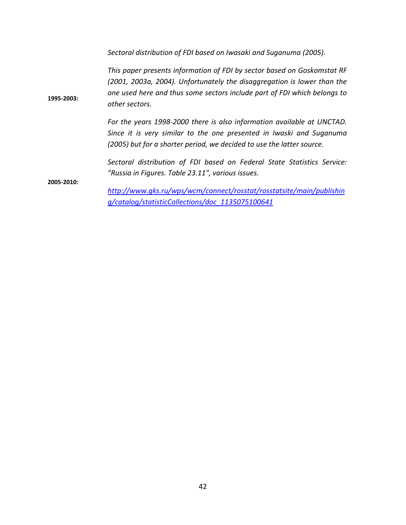**1995-2003:** *Sectoral distribution of FDI based on Iwasaki and Suganuma (2005). This paper presents information of FDI by sector based on Goskomstat RF (2001, 2003a, 2004). Unfortunately the disaggregation is lower than the one used here and thus some sectors include part of FDI which belongs to other sectors. For the years 1998-2000 there is also information available at UNCTAD. Since it is very similar to the one presented in Iwaski and Suganuma (2005) but for a shorter period, we decided to use the latter source.* **2005-2010:** *Sectoral distribution of FDI based on Federal State Statistics Service: "Russia in Figures. Table 23.11", various issues. [http://www.gks.ru/wps/wcm/connect/rosstat/rosstatsite/main/publishin](http://www.gks.ru/wps/wcm/connect/rosstat/rosstatsite/main/publishing/catalog/statisticCollections/doc_1135075100641) [g/catalog/statisticCollections/doc\\_1135075100641](http://www.gks.ru/wps/wcm/connect/rosstat/rosstatsite/main/publishing/catalog/statisticCollections/doc_1135075100641)*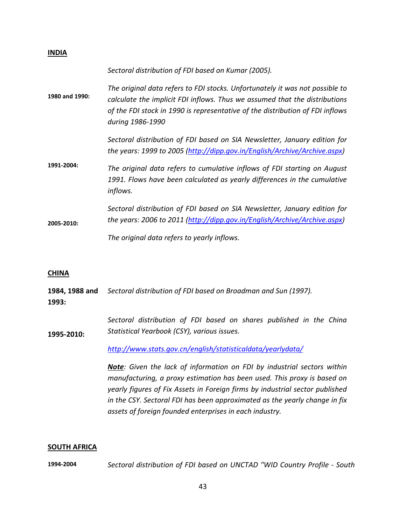| <b>INDIA</b>   |                                                                                                                                                                                                                                                                 |
|----------------|-----------------------------------------------------------------------------------------------------------------------------------------------------------------------------------------------------------------------------------------------------------------|
| 1980 and 1990: | Sectoral distribution of FDI based on Kumar (2005).                                                                                                                                                                                                             |
|                | The original data refers to FDI stocks. Unfortunately it was not possible to<br>calculate the implicit FDI inflows. Thus we assumed that the distributions<br>of the FDI stock in 1990 is representative of the distribution of FDI inflows<br>during 1986-1990 |
| 1991-2004:     | Sectoral distribution of FDI based on SIA Newsletter, January edition for<br>the years: 1999 to 2005 (http://dipp.gov.in/English/Archive/Archive.aspx)                                                                                                          |
|                | The original data refers to cumulative inflows of FDI starting on August<br>1991. Flows have been calculated as yearly differences in the cumulative<br>inflows.                                                                                                |
| 2005-2010:     | Sectoral distribution of FDI based on SIA Newsletter, January edition for<br>the years: 2006 to 2011 (http://dipp.gov.in/English/Archive/Archive.aspx)                                                                                                          |
|                | The original data refers to yearly inflows.                                                                                                                                                                                                                     |

#### **CHINA**

|       | 1984, 1988 and Sectoral distribution of FDI based on Broadman and Sun (1997). |
|-------|-------------------------------------------------------------------------------|
| 1993: |                                                                               |

**1995-2010:** *Sectoral distribution of FDI based on shares published in the China Statistical Yearbook (CSY), various issues.*

*<http://www.stats.gov.cn/english/statisticaldata/yearlydata/>*

*Note: Given the lack of information on FDI by industrial sectors within manufacturing, a proxy estimation has been used. This proxy is based on yearly figures of Fix Assets in Foreign firms by industrial sector published in the CSY. Sectoral FDI has been approximated as the yearly change in fix assets of foreign founded enterprises in each industry.*

#### **SOUTH AFRICA**

**1994-2004** *Sectoral distribution of FDI based on UNCTAD "WID Country Profile - South*